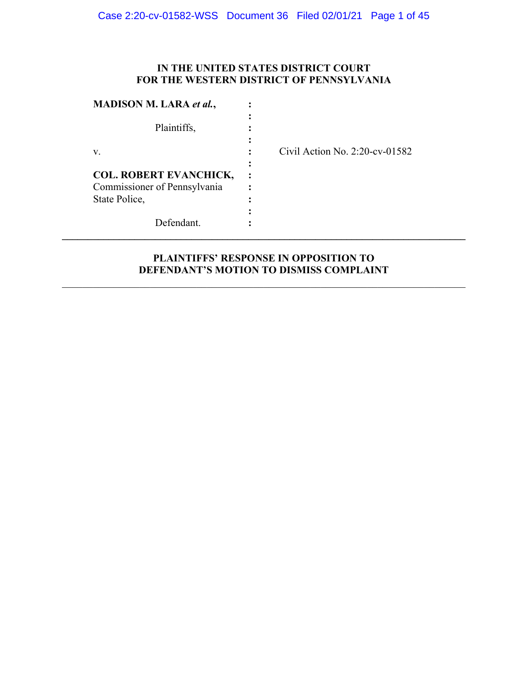#### **IN THE UNITED STATES DISTRICT COURT FOR THE WESTERN DISTRICT OF PENNSYLVANIA**

| <b>MADISON M. LARA et al.,</b>                                                 |                                   |
|--------------------------------------------------------------------------------|-----------------------------------|
| Plaintiffs,                                                                    |                                   |
| V.                                                                             | Civil Action No. $2:20$ -cv-01582 |
| <b>COL. ROBERT EVANCHICK,</b><br>Commissioner of Pennsylvania<br>State Police, |                                   |
| Defendant.                                                                     |                                   |

### **PLAINTIFFS' RESPONSE IN OPPOSITION TO DEFENDANT'S MOTION TO DISMISS COMPLAINT**

\_\_\_\_\_\_\_\_\_\_\_\_\_\_\_\_\_\_\_\_\_\_\_\_\_\_\_\_\_\_\_\_\_\_\_\_\_\_\_\_\_\_\_\_\_\_\_\_\_\_\_\_\_\_\_\_\_\_\_\_\_\_\_\_\_\_\_\_\_\_\_\_\_\_\_\_\_\_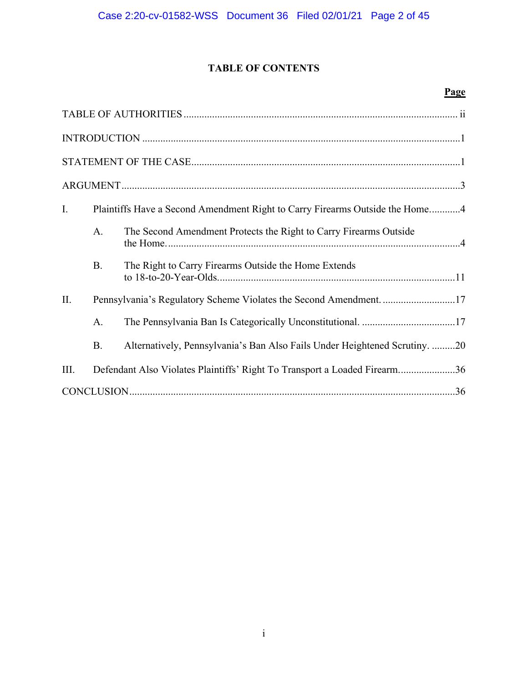## **TABLE OF CONTENTS**

### **Page**

| Ι.   |           | Plaintiffs Have a Second Amendment Right to Carry Firearms Outside the Home4 |
|------|-----------|------------------------------------------------------------------------------|
|      | A.        | The Second Amendment Protects the Right to Carry Firearms Outside            |
|      | <b>B.</b> | The Right to Carry Firearms Outside the Home Extends                         |
| II.  |           | Pennsylvania's Regulatory Scheme Violates the Second Amendment. 17           |
|      | A.        |                                                                              |
|      | <b>B.</b> | Alternatively, Pennsylvania's Ban Also Fails Under Heightened Scrutiny. 20   |
| III. |           | Defendant Also Violates Plaintiffs' Right To Transport a Loaded Firearm36    |
|      |           |                                                                              |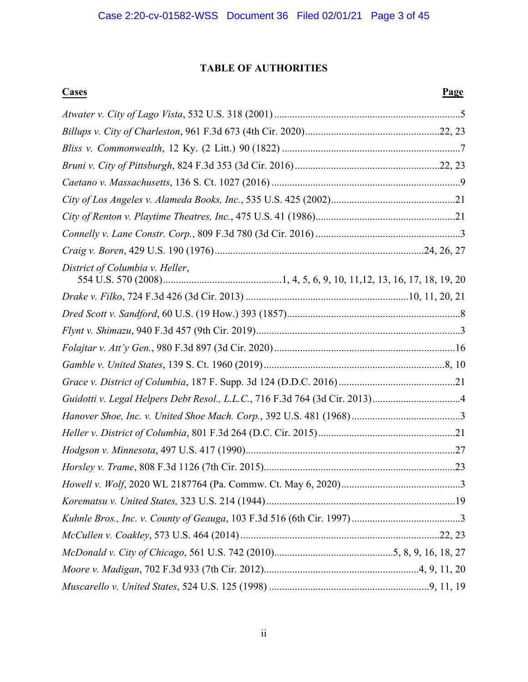#### **TABLE OF AUTHORITIES**

# **Cases Page**  *Atwater v. City of Lago Vista*, 532 U.S. 318 (2001) ........................................................................5 *Billups v. City of Charleston*, 961 F.3d 673 (4th Cir. 2020) ....................................................22, 23 *Bliss v. Commonwealth*, 12 Ky. (2 Litt.) 90 (1822) .....................................................................7 *Bruni v. City of Pittsburgh*, 824 F.3d 353 (3d Cir. 2016) ........................................................22, 23 *Caetano v. Massachusetts*, 136 S. Ct. 1027 (2016) .........................................................................9 *City of Los Angeles v. Alameda Books, Inc.*, 535 U.S. 425 (2002) ................................................21 *City of Renton v. Playtime Theatres, Inc.*, 475 U.S. 41 (1986) ......................................................21 *Connelly v. Lane Constr. Corp.*, 809 F.3d 780 (3d Cir. 2016) ........................................................3 *Craig v. Boren*, 429 U.S. 190 (1976) .................................................................................24, 26, 27 *District of Columbia v. Heller*, 554 U.S. 570 (2008) ..............................................1, 4, 5, 6, 9, 10, 11,12, 13, 16, 17, 18, 19, 20 *Drake v. Filko*, 724 F.3d 426 (3d Cir. 2013) ...............................................................10, 11, 20, 21 *Dred Scott v. Sandford*, 60 U.S. (19 How.) 393 (1857) ...................................................................8 *Flynt v. Shimazu*, 940 F.3d 457 (9th Cir. 2019) ...............................................................................3 *Folajtar v. Att'y Gen.*, 980 F.3d 897 (3d Cir. 2020) ......................................................................16 *Gamble v. United States*, 139 S. Ct. 1960 (2019) ......................................................................8, 10 *Grace v. District of Columbia*, 187 F. Supp. 3d 124 (D.D.C. 2016) .............................................21 *Guidotti v. Legal Helpers Debt Resol., L.L.C.*, 716 F.3d 764 (3d Cir. 2013) ..................................4 *Hanover Shoe, Inc. v. United Shoe Mach. Corp.*, 392 U.S. 481 (1968) ..........................................3 *Heller v. District of Columbia*, 801 F.3d 264 (D.C. Cir. 2015) .....................................................21 *Hodgson v. Minnesota*, 497 U.S. 417 (1990) .................................................................................27 *Horsley v. Trame*, 808 F.3d 1126 (7th Cir. 2015) ..........................................................................23 *Howell v. Wolf*, 2020 WL 2187764 (Pa. Commw. Ct. May 6, 2020) ..............................................3 *Korematsu v. United States,* 323 U.S. 214 (1944) .........................................................................19 *Kuhnle Bros., Inc. v. County of Geauga*, 103 F.3d 516 (6th Cir. 1997) ..........................................3 *McCullen v. Coakley*, 573 U.S. 464 (2014) .............................................................................22, 23 *McDonald v. City of Chicago*, 561 U.S. 742 (2010)..............................................5, 8, 9, 16, 18, 27 *Moore v. Madigan*, 702 F.3d 933 (7th Cir. 2012)............................................................4, 9, 11, 20 *Muscarello v. United States*, 524 U.S. 125 (1998) ..............................................................9, 11, 19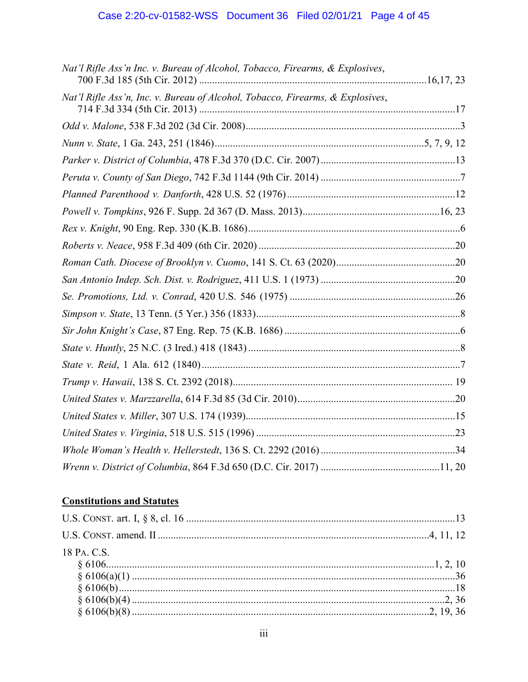## Case 2:20-cv-01582-WSS Document 36 Filed 02/01/21 Page 4 of 45

| Nat'l Rifle Ass'n Inc. v. Bureau of Alcohol, Tobacco, Firearms, & Explosives,  |  |
|--------------------------------------------------------------------------------|--|
| Nat'l Rifle Ass'n, Inc. v. Bureau of Alcohol, Tobacco, Firearms, & Explosives, |  |
|                                                                                |  |
|                                                                                |  |
|                                                                                |  |
|                                                                                |  |
|                                                                                |  |
|                                                                                |  |
|                                                                                |  |
|                                                                                |  |
|                                                                                |  |
|                                                                                |  |
|                                                                                |  |
|                                                                                |  |
|                                                                                |  |
|                                                                                |  |
|                                                                                |  |
|                                                                                |  |
|                                                                                |  |
|                                                                                |  |
|                                                                                |  |
|                                                                                |  |
|                                                                                |  |
|                                                                                |  |

## **Constitutions and Statutes**

| 18 PA. C.S. |  |
|-------------|--|
|             |  |
|             |  |
|             |  |
|             |  |
|             |  |
|             |  |
|             |  |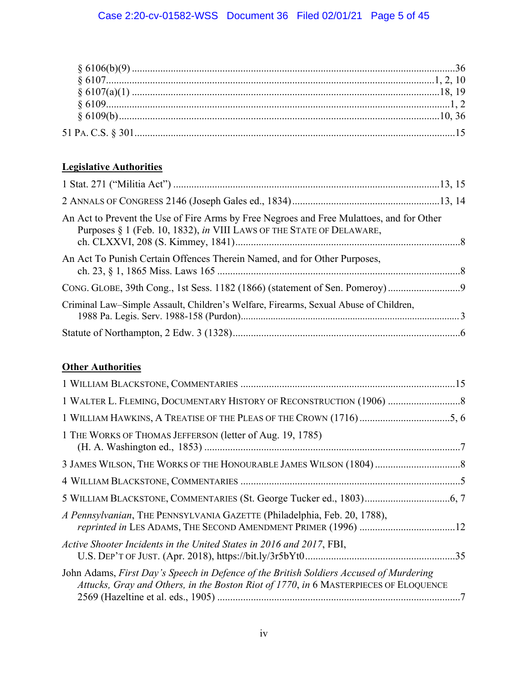## **Legislative Authorities**

| An Act to Prevent the Use of Fire Arms by Free Negroes and Free Mulattoes, and for Other<br>Purposes § 1 (Feb. 10, 1832), in VIII LAWS OF THE STATE OF DELAWARE, |  |
|------------------------------------------------------------------------------------------------------------------------------------------------------------------|--|
| An Act To Punish Certain Offences Therein Named, and for Other Purposes,                                                                                         |  |
|                                                                                                                                                                  |  |
| Criminal Law–Simple Assault, Children's Welfare, Firearms, Sexual Abuse of Children,                                                                             |  |
|                                                                                                                                                                  |  |

## **Other Authorities**

| 1 THE WORKS OF THOMAS JEFFERSON (letter of Aug. 19, 1785)                                                                                                                      |  |
|--------------------------------------------------------------------------------------------------------------------------------------------------------------------------------|--|
|                                                                                                                                                                                |  |
|                                                                                                                                                                                |  |
|                                                                                                                                                                                |  |
| A Pennsylvanian, THE PENNSYLVANIA GAZETTE (Philadelphia, Feb. 20, 1788),<br>reprinted in LES ADAMS, THE SECOND AMENDMENT PRIMER (1996) 12                                      |  |
| Active Shooter Incidents in the United States in 2016 and 2017, FBI,                                                                                                           |  |
| John Adams, First Day's Speech in Defence of the British Soldiers Accused of Murdering<br>Attucks, Gray and Others, in the Boston Riot of 1770, in 6 MASTERPIECES OF ELOQUENCE |  |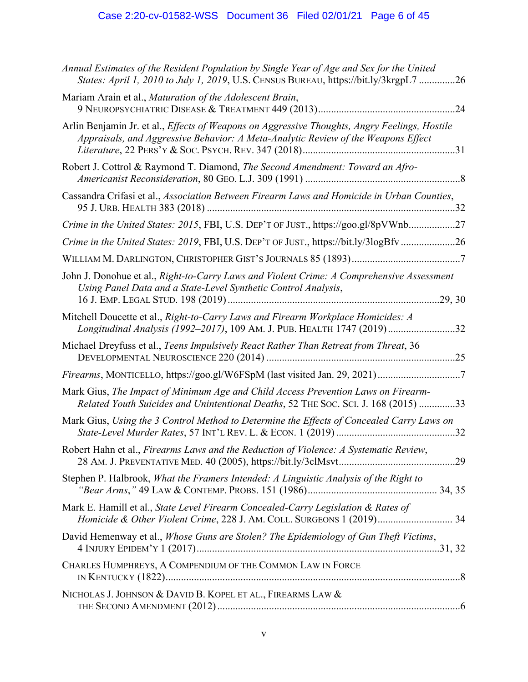## Case 2:20-cv-01582-WSS Document 36 Filed 02/01/21 Page 6 of 45

| Annual Estimates of the Resident Population by Single Year of Age and Sex for the United<br>States: April 1, 2010 to July 1, 2019, U.S. CENSUS BUREAU, https://bit.ly/3krgpL7 26          |
|-------------------------------------------------------------------------------------------------------------------------------------------------------------------------------------------|
| Mariam Arain et al., Maturation of the Adolescent Brain,                                                                                                                                  |
| Arlin Benjamin Jr. et al., <i>Effects of Weapons on Aggressive Thoughts, Angry Feelings, Hostile</i><br>Appraisals, and Aggressive Behavior: A Meta-Analytic Review of the Weapons Effect |
| Robert J. Cottrol & Raymond T. Diamond, The Second Amendment: Toward an Afro-                                                                                                             |
| Cassandra Crifasi et al., Association Between Firearm Laws and Homicide in Urban Counties,                                                                                                |
| Crime in the United States: 2015, FBI, U.S. DEP'T OF JUST., https://goo.gl/8pVWnb27                                                                                                       |
| Crime in the United States: 2019, FBI, U.S. DEP'T OF JUST., https://bit.ly/3logBfv26                                                                                                      |
|                                                                                                                                                                                           |
| John J. Donohue et al., Right-to-Carry Laws and Violent Crime: A Comprehensive Assessment<br>Using Panel Data and a State-Level Synthetic Control Analysis,<br>.29, 30                    |
| Mitchell Doucette et al., Right-to-Carry Laws and Firearm Workplace Homicides: A<br>Longitudinal Analysis (1992-2017), 109 AM. J. PUB. HEALTH 1747 (2019)32                               |
| Michael Dreyfuss et al., Teens Impulsively React Rather Than Retreat from Threat, 36                                                                                                      |
|                                                                                                                                                                                           |
| Mark Gius, The Impact of Minimum Age and Child Access Prevention Laws on Firearm-<br>Related Youth Suicides and Unintentional Deaths, 52 THE SOC. SCI. J. 168 (2015) 33                   |
| Mark Gius, Using the 3 Control Method to Determine the Effects of Concealed Carry Laws on                                                                                                 |
| Robert Hahn et al., Firearms Laws and the Reduction of Violence: A Systematic Review,                                                                                                     |
| Stephen P. Halbrook, What the Framers Intended: A Linguistic Analysis of the Right to                                                                                                     |
| Mark E. Hamill et al., State Level Firearm Concealed-Carry Legislation & Rates of<br>Homicide & Other Violent Crime, 228 J. AM. COLL. SURGEONS 1 (2019) 34                                |
| David Hemenway et al., Whose Guns are Stolen? The Epidemiology of Gun Theft Victims,                                                                                                      |
| CHARLES HUMPHREYS, A COMPENDIUM OF THE COMMON LAW IN FORCE                                                                                                                                |
| NICHOLAS J. JOHNSON & DAVID B. KOPEL ET AL., FIREARMS LAW &                                                                                                                               |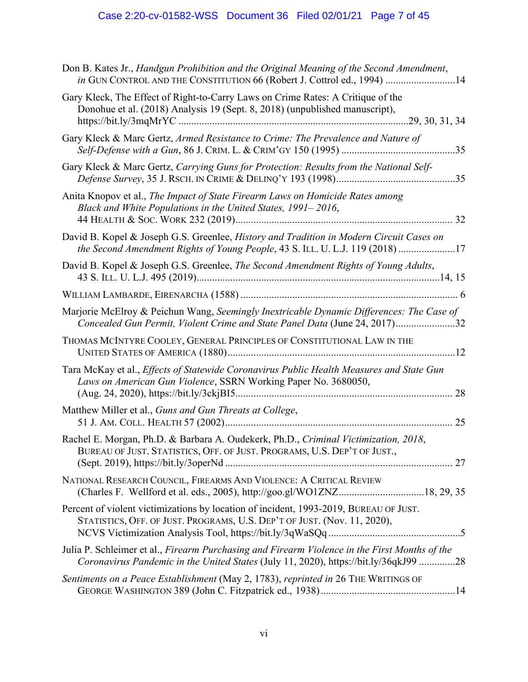## Case 2:20-cv-01582-WSS Document 36 Filed 02/01/21 Page 7 of 45

| Don B. Kates Jr., Handgun Prohibition and the Original Meaning of the Second Amendment,<br>in GUN CONTROL AND THE CONSTITUTION 66 (Robert J. Cottrol ed., 1994) 14                    |
|---------------------------------------------------------------------------------------------------------------------------------------------------------------------------------------|
| Gary Kleck, The Effect of Right-to-Carry Laws on Crime Rates: A Critique of the<br>Donohue et al. (2018) Analysis 19 (Sept. 8, 2018) (unpublished manuscript),                        |
| Gary Kleck & Marc Gertz, Armed Resistance to Crime: The Prevalence and Nature of                                                                                                      |
| Gary Kleck & Marc Gertz, Carrying Guns for Protection: Results from the National Self-                                                                                                |
| Anita Knopov et al., The Impact of State Firearm Laws on Homicide Rates among<br>Black and White Populations in the United States, 1991–2016,                                         |
| David B. Kopel & Joseph G.S. Greenlee, History and Tradition in Modern Circuit Cases on<br>the Second Amendment Rights of Young People, 43 S. ILL. U. L.J. 119 (2018) 17              |
| David B. Kopel & Joseph G.S. Greenlee, The Second Amendment Rights of Young Adults,                                                                                                   |
|                                                                                                                                                                                       |
| Marjorie McElroy & Peichun Wang, Seemingly Inextricable Dynamic Differences: The Case of<br>Concealed Gun Permit, Violent Crime and State Panel Data (June 24, 2017)32                |
| THOMAS MCINTYRE COOLEY, GENERAL PRINCIPLES OF CONSTITUTIONAL LAW IN THE                                                                                                               |
| Tara McKay et al., Effects of Statewide Coronavirus Public Health Measures and State Gun<br>Laws on American Gun Violence, SSRN Working Paper No. 3680050,                            |
| Matthew Miller et al., Guns and Gun Threats at College,                                                                                                                               |
| Rachel E. Morgan, Ph.D. & Barbara A. Oudekerk, Ph.D., Criminal Victimization, 2018,<br>BUREAU OF JUST. STATISTICS, OFF. OF JUST. PROGRAMS, U.S. DEP'T OF JUST.,                       |
| NATIONAL RESEARCH COUNCIL, FIREARMS AND VIOLENCE: A CRITICAL REVIEW<br>(Charles F. Wellford et al. eds., 2005), http://goo.gl/WO1ZNZ18, 29, 35                                        |
| Percent of violent victimizations by location of incident, 1993-2019, BUREAU OF JUST.<br>STATISTICS, OFF. OF JUST. PROGRAMS, U.S. DEP'T OF JUST. (Nov. 11, 2020),                     |
| Julia P. Schleimer et al., Firearm Purchasing and Firearm Violence in the First Months of the<br>Coronavirus Pandemic in the United States (July 11, 2020), https://bit.ly/36qkJ99 28 |
| Sentiments on a Peace Establishment (May 2, 1783), reprinted in 26 THE WRITINGS OF                                                                                                    |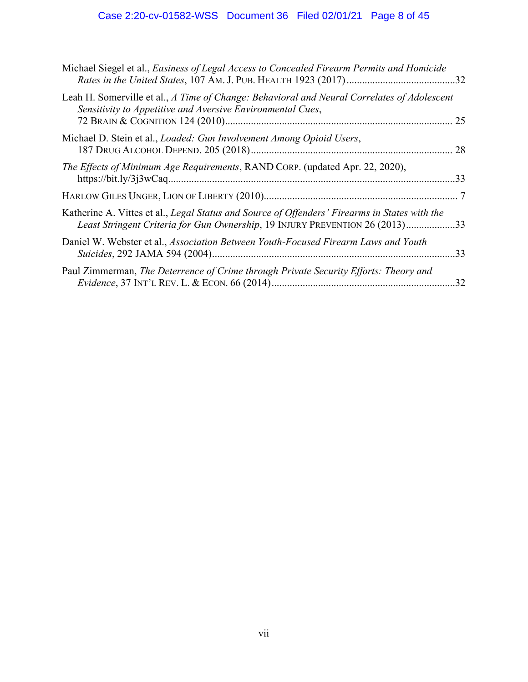# Case 2:20-cv-01582-WSS Document 36 Filed 02/01/21 Page 8 of 45

| Michael Siegel et al., Easiness of Legal Access to Concealed Firearm Permits and Homicide                                                                                     |     |
|-------------------------------------------------------------------------------------------------------------------------------------------------------------------------------|-----|
| Leah H. Somerville et al., A Time of Change: Behavioral and Neural Correlates of Adolescent<br>Sensitivity to Appetitive and Aversive Environmental Cues,                     |     |
| Michael D. Stein et al., <i>Loaded: Gun Involvement Among Opioid Users</i> ,                                                                                                  |     |
| The Effects of Minimum Age Requirements, RAND CORP. (updated Apr. 22, 2020),                                                                                                  | .33 |
|                                                                                                                                                                               |     |
| Katherine A. Vittes et al., Legal Status and Source of Offenders' Firearms in States with the<br>Least Stringent Criteria for Gun Ownership, 19 INJURY PREVENTION 26 (2013)33 |     |
| Daniel W. Webster et al., Association Between Youth-Focused Firearm Laws and Youth                                                                                            |     |
| Paul Zimmerman, The Deterrence of Crime through Private Security Efforts: Theory and                                                                                          |     |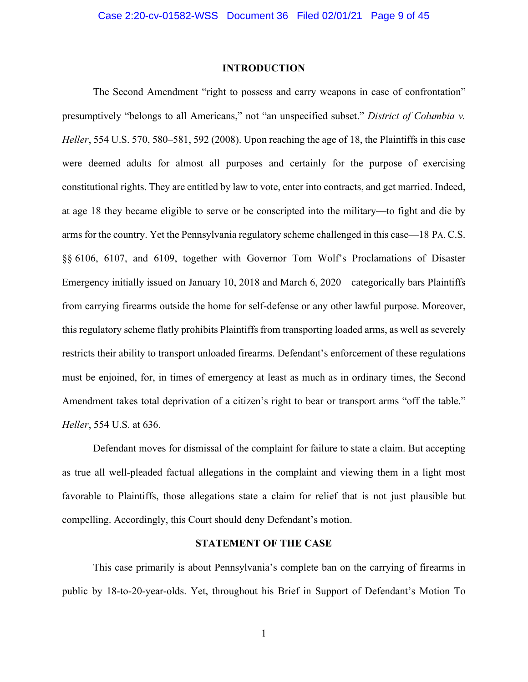#### **INTRODUCTION**

The Second Amendment "right to possess and carry weapons in case of confrontation" presumptively "belongs to all Americans," not "an unspecified subset." *District of Columbia v. Heller*, 554 U.S. 570, 580–581, 592 (2008). Upon reaching the age of 18, the Plaintiffs in this case were deemed adults for almost all purposes and certainly for the purpose of exercising constitutional rights. They are entitled by law to vote, enter into contracts, and get married. Indeed, at age 18 they became eligible to serve or be conscripted into the military—to fight and die by arms for the country. Yet the Pennsylvania regulatory scheme challenged in this case—18 PA.C.S. §§ 6106, 6107, and 6109, together with Governor Tom Wolf's Proclamations of Disaster Emergency initially issued on January 10, 2018 and March 6, 2020—categorically bars Plaintiffs from carrying firearms outside the home for self-defense or any other lawful purpose. Moreover, this regulatory scheme flatly prohibits Plaintiffs from transporting loaded arms, as well as severely restricts their ability to transport unloaded firearms. Defendant's enforcement of these regulations must be enjoined, for, in times of emergency at least as much as in ordinary times, the Second Amendment takes total deprivation of a citizen's right to bear or transport arms "off the table." *Heller*, 554 U.S. at 636.

Defendant moves for dismissal of the complaint for failure to state a claim. But accepting as true all well-pleaded factual allegations in the complaint and viewing them in a light most favorable to Plaintiffs, those allegations state a claim for relief that is not just plausible but compelling. Accordingly, this Court should deny Defendant's motion.

#### **STATEMENT OF THE CASE**

This case primarily is about Pennsylvania's complete ban on the carrying of firearms in public by 18-to-20-year-olds. Yet, throughout his Brief in Support of Defendant's Motion To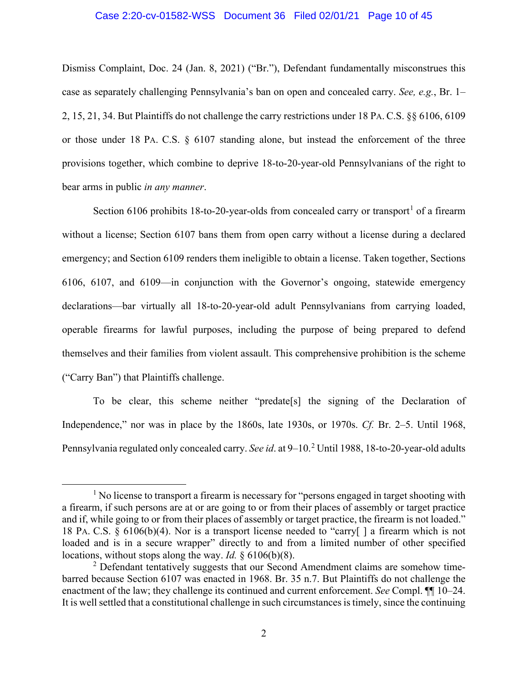#### Case 2:20-cv-01582-WSS Document 36 Filed 02/01/21 Page 10 of 45

Dismiss Complaint, Doc. 24 (Jan. 8, 2021) ("Br."), Defendant fundamentally misconstrues this case as separately challenging Pennsylvania's ban on open and concealed carry. *See, e.g.*, Br. 1– 2, 15, 21, 34. But Plaintiffs do not challenge the carry restrictions under 18 PA. C.S. §§ 6106, 6109 or those under 18 PA. C.S. § 6107 standing alone, but instead the enforcement of the three provisions together, which combine to deprive 18-to-20-year-old Pennsylvanians of the right to bear arms in public *in any manner*.

Section 6106 prohibits 18-to-20-year-olds from concealed carry or transport<sup>1</sup> of a firearm without a license; Section 6107 bans them from open carry without a license during a declared emergency; and Section 6109 renders them ineligible to obtain a license. Taken together, Sections 6106, 6107, and 6109—in conjunction with the Governor's ongoing, statewide emergency declarations—bar virtually all 18-to-20-year-old adult Pennsylvanians from carrying loaded, operable firearms for lawful purposes, including the purpose of being prepared to defend themselves and their families from violent assault. This comprehensive prohibition is the scheme ("Carry Ban") that Plaintiffs challenge.

To be clear, this scheme neither "predate[s] the signing of the Declaration of Independence," nor was in place by the 1860s, late 1930s, or 1970s. *Cf.* Br. 2–5. Until 1968, Pennsylvania regulated only concealed carry. *See id*. at 9–10.<sup>2</sup> Until 1988, 18-to-20-year-old adults

<sup>&</sup>lt;sup>1</sup> No license to transport a firearm is necessary for "persons engaged in target shooting with a firearm, if such persons are at or are going to or from their places of assembly or target practice and if, while going to or from their places of assembly or target practice, the firearm is not loaded." 18 PA. C.S. § 6106(b)(4). Nor is a transport license needed to "carry[ ] a firearm which is not loaded and is in a secure wrapper" directly to and from a limited number of other specified locations, without stops along the way. *Id.* § 6106(b)(8).

<sup>&</sup>lt;sup>2</sup> Defendant tentatively suggests that our Second Amendment claims are somehow timebarred because Section 6107 was enacted in 1968. Br. 35 n.7. But Plaintiffs do not challenge the enactment of the law; they challenge its continued and current enforcement. *See* Compl. ¶¶ 10–24. It is well settled that a constitutional challenge in such circumstances is timely, since the continuing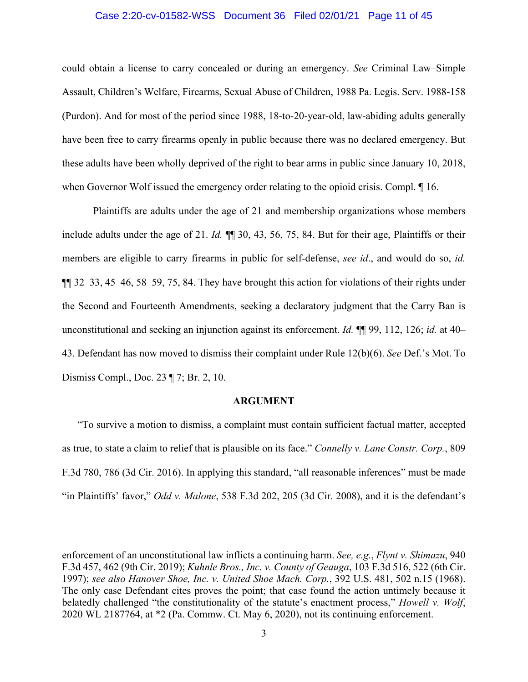#### Case 2:20-cv-01582-WSS Document 36 Filed 02/01/21 Page 11 of 45

could obtain a license to carry concealed or during an emergency. *See* Criminal Law–Simple Assault, Children's Welfare, Firearms, Sexual Abuse of Children, 1988 Pa. Legis. Serv. 1988-158 (Purdon). And for most of the period since 1988, 18-to-20-year-old, law-abiding adults generally have been free to carry firearms openly in public because there was no declared emergency. But these adults have been wholly deprived of the right to bear arms in public since January 10, 2018, when Governor Wolf issued the emergency order relating to the opioid crisis. Compl. ¶ 16.

Plaintiffs are adults under the age of 21 and membership organizations whose members include adults under the age of 21. *Id.* ¶¶ 30, 43, 56, 75, 84. But for their age, Plaintiffs or their members are eligible to carry firearms in public for self-defense, *see id*., and would do so, *id.* ¶¶ 32–33, 45–46, 58–59, 75, 84. They have brought this action for violations of their rights under the Second and Fourteenth Amendments, seeking a declaratory judgment that the Carry Ban is unconstitutional and seeking an injunction against its enforcement. *Id.* ¶¶ 99, 112, 126; *id.* at 40– 43. Defendant has now moved to dismiss their complaint under Rule 12(b)(6). *See* Def.'s Mot. To Dismiss Compl., Doc. 23 ¶ 7; Br. 2, 10.

#### **ARGUMENT**

"To survive a motion to dismiss, a complaint must contain sufficient factual matter, accepted as true, to state a claim to relief that is plausible on its face." *Connelly v. Lane Constr. Corp.*, 809 F.3d 780, 786 (3d Cir. 2016). In applying this standard, "all reasonable inferences" must be made "in Plaintiffs' favor," *Odd v. Malone*, 538 F.3d 202, 205 (3d Cir. 2008), and it is the defendant's

enforcement of an unconstitutional law inflicts a continuing harm. *See, e.g.*, *Flynt v. Shimazu*, 940 F.3d 457, 462 (9th Cir. 2019); *Kuhnle Bros., Inc. v. County of Geauga*, 103 F.3d 516, 522 (6th Cir. 1997); *see also Hanover Shoe, Inc. v. United Shoe Mach. Corp.*, 392 U.S. 481, 502 n.15 (1968). The only case Defendant cites proves the point; that case found the action untimely because it belatedly challenged "the constitutionality of the statute's enactment process," *Howell v. Wolf*, 2020 WL 2187764, at \*2 (Pa. Commw. Ct. May 6, 2020), not its continuing enforcement.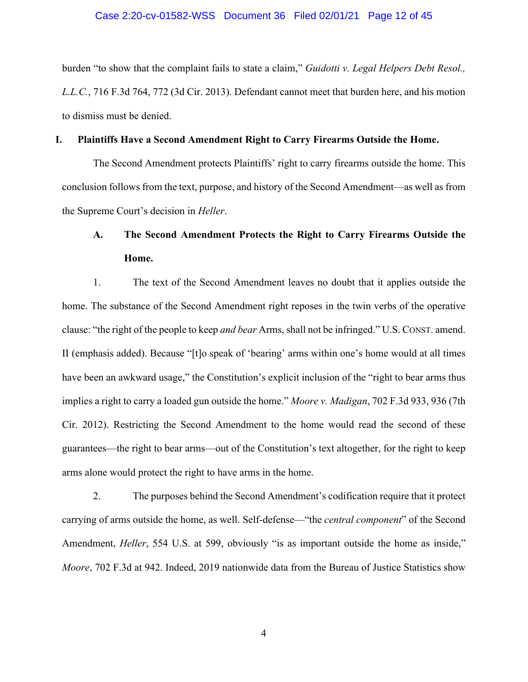#### Case 2:20-cv-01582-WSS Document 36 Filed 02/01/21 Page 12 of 45

burden "to show that the complaint fails to state a claim," *Guidotti v. Legal Helpers Debt Resol., L.L.C.*, 716 F.3d 764, 772 (3d Cir. 2013). Defendant cannot meet that burden here, and his motion to dismiss must be denied.

#### **I. Plaintiffs Have a Second Amendment Right to Carry Firearms Outside the Home.**

The Second Amendment protects Plaintiffs' right to carry firearms outside the home. This conclusion follows from the text, purpose, and history of the Second Amendment—as well as from the Supreme Court's decision in *Heller*.

# **A. The Second Amendment Protects the Right to Carry Firearms Outside the Home.**

1. The text of the Second Amendment leaves no doubt that it applies outside the home. The substance of the Second Amendment right reposes in the twin verbs of the operative clause: "the right of the people to keep *and bear* Arms, shall not be infringed." U.S. CONST. amend. II (emphasis added). Because "[t]o speak of 'bearing' arms within one's home would at all times have been an awkward usage," the Constitution's explicit inclusion of the "right to bear arms thus implies a right to carry a loaded gun outside the home." *Moore v. Madigan*, 702 F.3d 933, 936 (7th Cir. 2012). Restricting the Second Amendment to the home would read the second of these guarantees—the right to bear arms—out of the Constitution's text altogether, for the right to keep arms alone would protect the right to have arms in the home.

2. The purposes behind the Second Amendment's codification require that it protect carrying of arms outside the home, as well. Self-defense—"the *central component*" of the Second Amendment, *Heller*, 554 U.S. at 599, obviously "is as important outside the home as inside," *Moore*, 702 F.3d at 942. Indeed, 2019 nationwide data from the Bureau of Justice Statistics show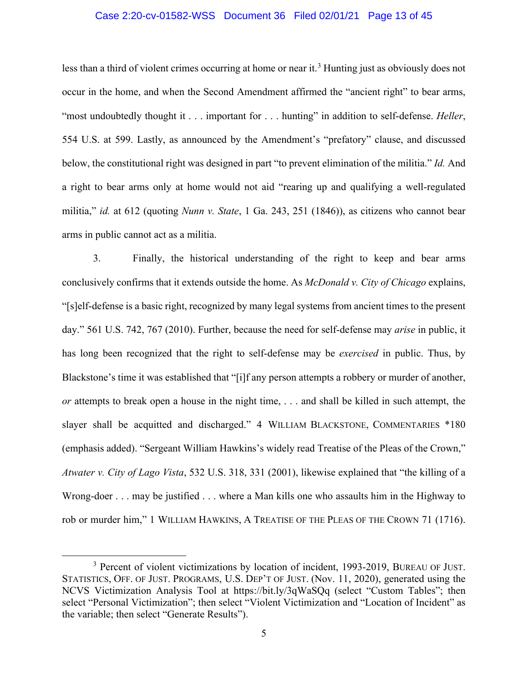#### Case 2:20-cv-01582-WSS Document 36 Filed 02/01/21 Page 13 of 45

less than a third of violent crimes occurring at home or near it.<sup>3</sup> Hunting just as obviously does not occur in the home, and when the Second Amendment affirmed the "ancient right" to bear arms, "most undoubtedly thought it . . . important for . . . hunting" in addition to self-defense. *Heller*, 554 U.S. at 599. Lastly, as announced by the Amendment's "prefatory" clause, and discussed below, the constitutional right was designed in part "to prevent elimination of the militia." *Id.* And a right to bear arms only at home would not aid "rearing up and qualifying a well-regulated militia," *id.* at 612 (quoting *Nunn v. State*, 1 Ga. 243, 251 (1846)), as citizens who cannot bear arms in public cannot act as a militia.

3. Finally, the historical understanding of the right to keep and bear arms conclusively confirms that it extends outside the home. As *McDonald v. City of Chicago* explains, "[s]elf-defense is a basic right, recognized by many legal systems from ancient times to the present day." 561 U.S. 742, 767 (2010). Further, because the need for self-defense may *arise* in public, it has long been recognized that the right to self-defense may be *exercised* in public. Thus, by Blackstone's time it was established that "[i]f any person attempts a robbery or murder of another, *or* attempts to break open a house in the night time, . . . and shall be killed in such attempt, the slayer shall be acquitted and discharged." 4 WILLIAM BLACKSTONE, COMMENTARIES \*180 (emphasis added). "Sergeant William Hawkins's widely read Treatise of the Pleas of the Crown," *Atwater v. City of Lago Vista*, 532 U.S. 318, 331 (2001), likewise explained that "the killing of a Wrong-doer . . . may be justified . . . where a Man kills one who assaults him in the Highway to rob or murder him," 1 WILLIAM HAWKINS, A TREATISE OF THE PLEAS OF THE CROWN 71 (1716).

<sup>&</sup>lt;sup>3</sup> Percent of violent victimizations by location of incident, 1993-2019, BUREAU OF JUST. STATISTICS, OFF. OF JUST. PROGRAMS, U.S. DEP'T OF JUST. (Nov. 11, 2020), generated using the NCVS Victimization Analysis Tool at https://bit.ly/3qWaSQq (select "Custom Tables"; then select "Personal Victimization"; then select "Violent Victimization and "Location of Incident" as the variable; then select "Generate Results").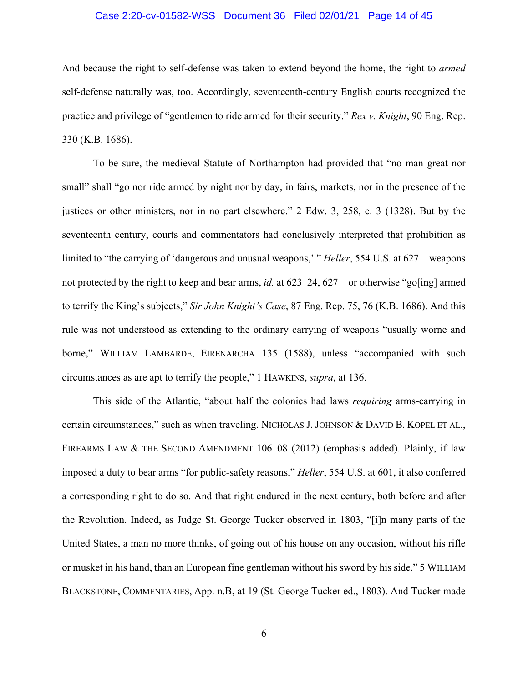#### Case 2:20-cv-01582-WSS Document 36 Filed 02/01/21 Page 14 of 45

And because the right to self-defense was taken to extend beyond the home, the right to *armed*  self-defense naturally was, too. Accordingly, seventeenth-century English courts recognized the practice and privilege of "gentlemen to ride armed for their security." *Rex v. Knight*, 90 Eng. Rep. 330 (K.B. 1686).

To be sure, the medieval Statute of Northampton had provided that "no man great nor small" shall "go nor ride armed by night nor by day, in fairs, markets, nor in the presence of the justices or other ministers, nor in no part elsewhere." 2 Edw. 3, 258, c. 3 (1328). But by the seventeenth century, courts and commentators had conclusively interpreted that prohibition as limited to "the carrying of 'dangerous and unusual weapons,' " *Heller*, 554 U.S. at 627—weapons not protected by the right to keep and bear arms, *id.* at 623–24, 627—or otherwise "go[ing] armed to terrify the King's subjects," *Sir John Knight's Case*, 87 Eng. Rep. 75, 76 (K.B. 1686). And this rule was not understood as extending to the ordinary carrying of weapons "usually worne and borne," WILLIAM LAMBARDE, EIRENARCHA 135 (1588), unless "accompanied with such circumstances as are apt to terrify the people," 1 HAWKINS, *supra*, at 136.

This side of the Atlantic, "about half the colonies had laws *requiring* arms-carrying in certain circumstances," such as when traveling. NICHOLAS J. JOHNSON & DAVID B. KOPEL ET AL., FIREARMS LAW & THE SECOND AMENDMENT 106–08 (2012) (emphasis added). Plainly, if law imposed a duty to bear arms "for public-safety reasons," *Heller*, 554 U.S. at 601, it also conferred a corresponding right to do so. And that right endured in the next century, both before and after the Revolution. Indeed, as Judge St. George Tucker observed in 1803, "[i]n many parts of the United States, a man no more thinks, of going out of his house on any occasion, without his rifle or musket in his hand, than an European fine gentleman without his sword by his side." 5 WILLIAM BLACKSTONE, COMMENTARIES, App. n.B, at 19 (St. George Tucker ed., 1803). And Tucker made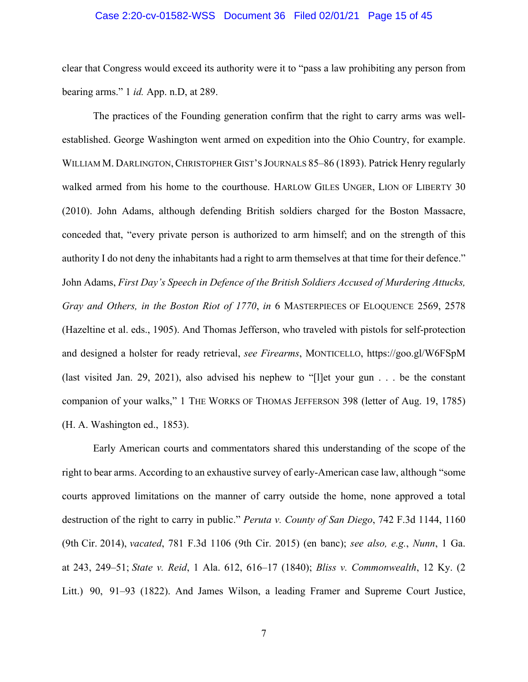#### Case 2:20-cv-01582-WSS Document 36 Filed 02/01/21 Page 15 of 45

clear that Congress would exceed its authority were it to "pass a law prohibiting any person from bearing arms." 1 *id.* App. n.D, at 289.

The practices of the Founding generation confirm that the right to carry arms was wellestablished. George Washington went armed on expedition into the Ohio Country, for example. WILLIAM M. DARLINGTON, CHRISTOPHER GIST'S JOURNALS 85–86 (1893). Patrick Henry regularly walked armed from his home to the courthouse. HARLOW GILES UNGER, LION OF LIBERTY 30 (2010). John Adams, although defending British soldiers charged for the Boston Massacre, conceded that, "every private person is authorized to arm himself; and on the strength of this authority I do not deny the inhabitants had a right to arm themselves at that time for their defence." John Adams, *First Day's Speech in Defence of the British Soldiers Accused of Murdering Attucks, Gray and Others, in the Boston Riot of 1770*, *in* 6 MASTERPIECES OF ELOQUENCE 2569, 2578 (Hazeltine et al. eds., 1905). And Thomas Jefferson, who traveled with pistols for self-protection and designed a holster for ready retrieval, *see Firearms*, MONTICELLO, https://goo.gl/W6FSpM (last visited Jan. 29, 2021), also advised his nephew to "[l]et your gun . . . be the constant companion of your walks," 1 THE WORKS OF THOMAS JEFFERSON 398 (letter of Aug. 19, 1785) (H. A. Washington ed., 1853).

Early American courts and commentators shared this understanding of the scope of the right to bear arms. According to an exhaustive survey of early-American case law, although "some courts approved limitations on the manner of carry outside the home, none approved a total destruction of the right to carry in public." *Peruta v. County of San Diego*, 742 F.3d 1144, 1160 (9th Cir. 2014), *vacated*, 781 F.3d 1106 (9th Cir. 2015) (en banc); *see also, e.g.*, *Nunn*, 1 Ga. at 243, 249–51; *State v. Reid*, 1 Ala. 612, 616–17 (1840); *Bliss v. Commonwealth*, 12 Ky. (2 Litt.) 90, 91–93 (1822). And James Wilson, a leading Framer and Supreme Court Justice,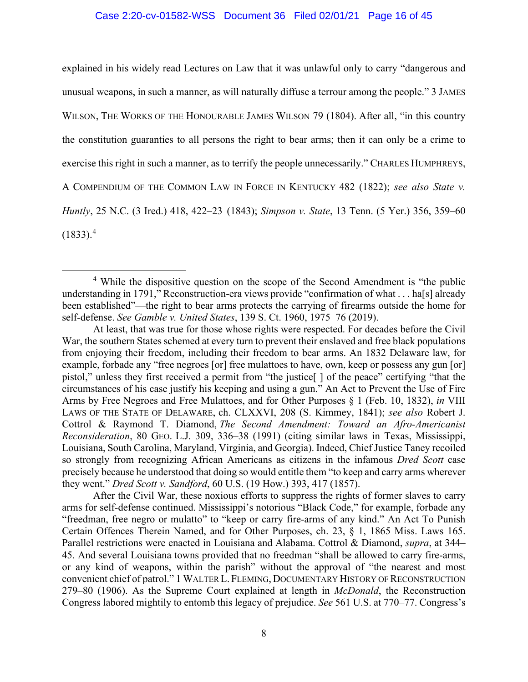#### Case 2:20-cv-01582-WSS Document 36 Filed 02/01/21 Page 16 of 45

explained in his widely read Lectures on Law that it was unlawful only to carry "dangerous and unusual weapons, in such a manner, as will naturally diffuse a terrour among the people." 3 JAMES WILSON, THE WORKS OF THE HONOURABLE JAMES WILSON 79 (1804). After all, "in this country the constitution guaranties to all persons the right to bear arms; then it can only be a crime to exercise this right in such a manner, as to terrify the people unnecessarily." CHARLES HUMPHREYS, A COMPENDIUM OF THE COMMON LAW IN FORCE IN KENTUCKY 482 (1822); *see also State v. Huntly*, 25 N.C. (3 Ired.) 418, 422–23 (1843); *Simpson v. State*, 13 Tenn. (5 Yer.) 356, 359–60  $(1833).<sup>4</sup>$ 

After the Civil War, these noxious efforts to suppress the rights of former slaves to carry arms for self-defense continued. Mississippi's notorious "Black Code," for example, forbade any "freedman, free negro or mulatto" to "keep or carry fire-arms of any kind." An Act To Punish Certain Offences Therein Named, and for Other Purposes, ch. 23, § 1, 1865 Miss. Laws 165. Parallel restrictions were enacted in Louisiana and Alabama. Cottrol & Diamond, *supra*, at 344– 45. And several Louisiana towns provided that no freedman "shall be allowed to carry fire-arms, or any kind of weapons, within the parish" without the approval of "the nearest and most convenient chief of patrol." 1 WALTER L. FLEMING, DOCUMENTARY HISTORY OF RECONSTRUCTION 279–80 (1906). As the Supreme Court explained at length in *McDonald*, the Reconstruction Congress labored mightily to entomb this legacy of prejudice. *See* 561 U.S. at 770–77. Congress's

<sup>4</sup> While the dispositive question on the scope of the Second Amendment is "the public understanding in 1791," Reconstruction-era views provide "confirmation of what . . . ha[s] already been established"—the right to bear arms protects the carrying of firearms outside the home for self-defense. *See Gamble v. United States*, 139 S. Ct. 1960, 1975–76 (2019).

At least, that was true for those whose rights were respected. For decades before the Civil War, the southern States schemed at every turn to prevent their enslaved and free black populations from enjoying their freedom, including their freedom to bear arms. An 1832 Delaware law, for example, forbade any "free negroes [or] free mulattoes to have, own, keep or possess any gun [or] pistol," unless they first received a permit from "the justice[ ] of the peace" certifying "that the circumstances of his case justify his keeping and using a gun." An Act to Prevent the Use of Fire Arms by Free Negroes and Free Mulattoes, and for Other Purposes § 1 (Feb. 10, 1832), *in* VIII LAWS OF THE STATE OF DELAWARE, ch. CLXXVI, 208 (S. Kimmey, 1841); *see also* Robert J. Cottrol & Raymond T. Diamond, *The Second Amendment: Toward an Afro-Americanist Reconsideration*, 80 GEO. L.J. 309, 336–38 (1991) (citing similar laws in Texas, Mississippi, Louisiana, South Carolina, Maryland, Virginia, and Georgia). Indeed, Chief Justice Taney recoiled so strongly from recognizing African Americans as citizens in the infamous *Dred Scott* case precisely because he understood that doing so would entitle them "to keep and carry arms wherever they went." *Dred Scott v. Sandford*, 60 U.S. (19 How.) 393, 417 (1857).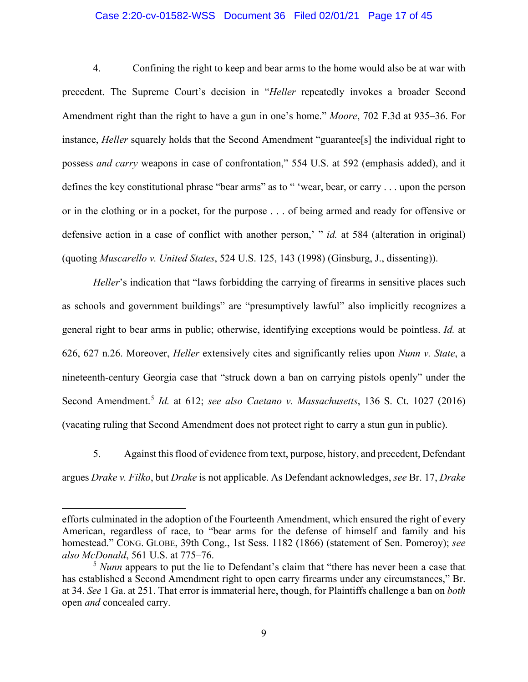#### Case 2:20-cv-01582-WSS Document 36 Filed 02/01/21 Page 17 of 45

4. Confining the right to keep and bear arms to the home would also be at war with precedent. The Supreme Court's decision in "*Heller* repeatedly invokes a broader Second Amendment right than the right to have a gun in one's home." *Moore*, 702 F.3d at 935–36. For instance, *Heller* squarely holds that the Second Amendment "guarantee[s] the individual right to possess *and carry* weapons in case of confrontation," 554 U.S. at 592 (emphasis added), and it defines the key constitutional phrase "bear arms" as to " 'wear, bear, or carry . . . upon the person or in the clothing or in a pocket, for the purpose . . . of being armed and ready for offensive or defensive action in a case of conflict with another person,' " *id.* at 584 (alteration in original) (quoting *Muscarello v. United States*, 524 U.S. 125, 143 (1998) (Ginsburg, J., dissenting)).

*Heller*'s indication that "laws forbidding the carrying of firearms in sensitive places such as schools and government buildings" are "presumptively lawful" also implicitly recognizes a general right to bear arms in public; otherwise, identifying exceptions would be pointless. *Id.* at 626, 627 n.26. Moreover, *Heller* extensively cites and significantly relies upon *Nunn v. State*, a nineteenth-century Georgia case that "struck down a ban on carrying pistols openly" under the Second Amendment.<sup>5</sup> *Id.* at 612; *see also Caetano v. Massachusetts*, 136 S. Ct. 1027 (2016) (vacating ruling that Second Amendment does not protect right to carry a stun gun in public).

5. Against this flood of evidence from text, purpose, history, and precedent, Defendant argues *Drake v. Filko*, but *Drake* is not applicable. As Defendant acknowledges, *see* Br. 17, *Drake* 

efforts culminated in the adoption of the Fourteenth Amendment, which ensured the right of every American, regardless of race, to "bear arms for the defense of himself and family and his homestead." CONG. GLOBE, 39th Cong., 1st Sess. 1182 (1866) (statement of Sen. Pomeroy); *see also McDonald*, 561 U.S. at 775–76.

<sup>&</sup>lt;sup>5</sup> *Nunn* appears to put the lie to Defendant's claim that "there has never been a case that has established a Second Amendment right to open carry firearms under any circumstances," Br. at 34. *See* 1 Ga. at 251. That error is immaterial here, though, for Plaintiffs challenge a ban on *both*  open *and* concealed carry.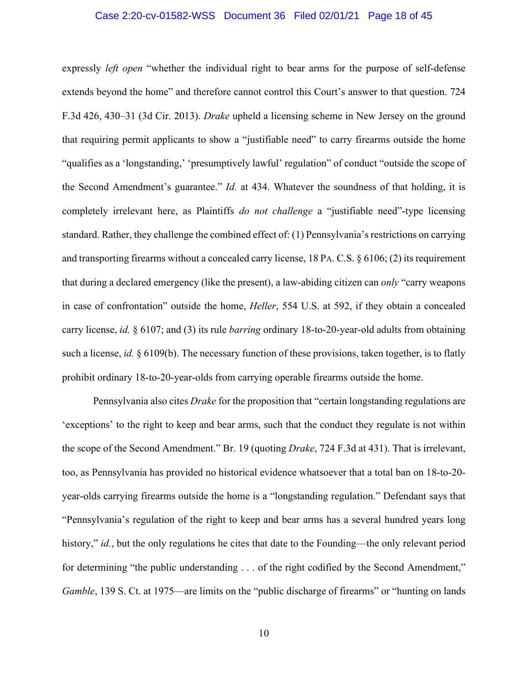#### Case 2:20-cv-01582-WSS Document 36 Filed 02/01/21 Page 18 of 45

expressly *left open* "whether the individual right to bear arms for the purpose of self-defense extends beyond the home" and therefore cannot control this Court's answer to that question. 724 F.3d 426, 430–31 (3d Cir. 2013). *Drake* upheld a licensing scheme in New Jersey on the ground that requiring permit applicants to show a "justifiable need" to carry firearms outside the home "qualifies as a 'longstanding,' 'presumptively lawful' regulation" of conduct "outside the scope of the Second Amendment's guarantee." *Id.* at 434. Whatever the soundness of that holding, it is completely irrelevant here, as Plaintiffs *do not challenge* a "justifiable need"-type licensing standard. Rather, they challenge the combined effect of: (1) Pennsylvania's restrictions on carrying and transporting firearms without a concealed carry license, 18 PA. C.S. § 6106; (2) its requirement that during a declared emergency (like the present), a law-abiding citizen can *only* "carry weapons in case of confrontation" outside the home, *Heller*, 554 U.S. at 592, if they obtain a concealed carry license, *id.* § 6107; and (3) its rule *barring* ordinary 18-to-20-year-old adults from obtaining such a license, *id.* § 6109(b). The necessary function of these provisions, taken together, is to flatly prohibit ordinary 18-to-20-year-olds from carrying operable firearms outside the home.

Pennsylvania also cites *Drake* for the proposition that "certain longstanding regulations are 'exceptions' to the right to keep and bear arms, such that the conduct they regulate is not within the scope of the Second Amendment." Br. 19 (quoting *Drake*, 724 F.3d at 431). That is irrelevant, too, as Pennsylvania has provided no historical evidence whatsoever that a total ban on 18-to-20 year-olds carrying firearms outside the home is a "longstanding regulation." Defendant says that "Pennsylvania's regulation of the right to keep and bear arms has a several hundred years long history," *id.*, but the only regulations he cites that date to the Founding—the only relevant period for determining "the public understanding . . . of the right codified by the Second Amendment," *Gamble*, 139 S. Ct. at 1975—are limits on the "public discharge of firearms" or "hunting on lands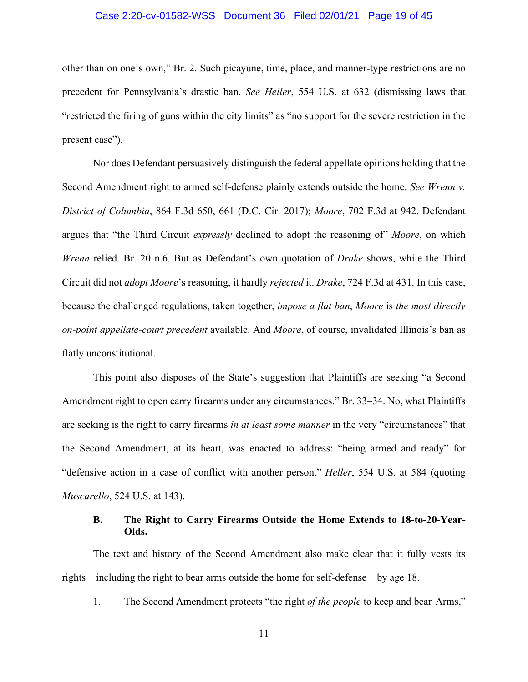#### Case 2:20-cv-01582-WSS Document 36 Filed 02/01/21 Page 19 of 45

other than on one's own," Br. 2. Such picayune, time, place, and manner-type restrictions are no precedent for Pennsylvania's drastic ban. *See Heller*, 554 U.S. at 632 (dismissing laws that "restricted the firing of guns within the city limits" as "no support for the severe restriction in the present case").

Nor does Defendant persuasively distinguish the federal appellate opinions holding that the Second Amendment right to armed self-defense plainly extends outside the home. *See Wrenn v. District of Columbia*, 864 F.3d 650, 661 (D.C. Cir. 2017); *Moore*, 702 F.3d at 942. Defendant argues that "the Third Circuit *expressly* declined to adopt the reasoning of" *Moore*, on which *Wrenn* relied. Br. 20 n.6. But as Defendant's own quotation of *Drake* shows, while the Third Circuit did not *adopt Moore*'s reasoning, it hardly *rejected* it. *Drake*, 724 F.3d at 431. In this case, because the challenged regulations, taken together, *impose a flat ban*, *Moore* is *the most directly on-point appellate-court precedent* available. And *Moore*, of course, invalidated Illinois's ban as flatly unconstitutional.

This point also disposes of the State's suggestion that Plaintiffs are seeking "a Second Amendment right to open carry firearms under any circumstances." Br. 33–34. No, what Plaintiffs are seeking is the right to carry firearms *in at least some manner* in the very "circumstances" that the Second Amendment, at its heart, was enacted to address: "being armed and ready" for "defensive action in a case of conflict with another person." *Heller*, 554 U.S. at 584 (quoting *Muscarello*, 524 U.S. at 143).

#### **B. The Right to Carry Firearms Outside the Home Extends to 18-to-20-Year-Olds.**

The text and history of the Second Amendment also make clear that it fully vests its rights—including the right to bear arms outside the home for self-defense—by age 18.

1. The Second Amendment protects "the right *of the people* to keep and bear Arms,"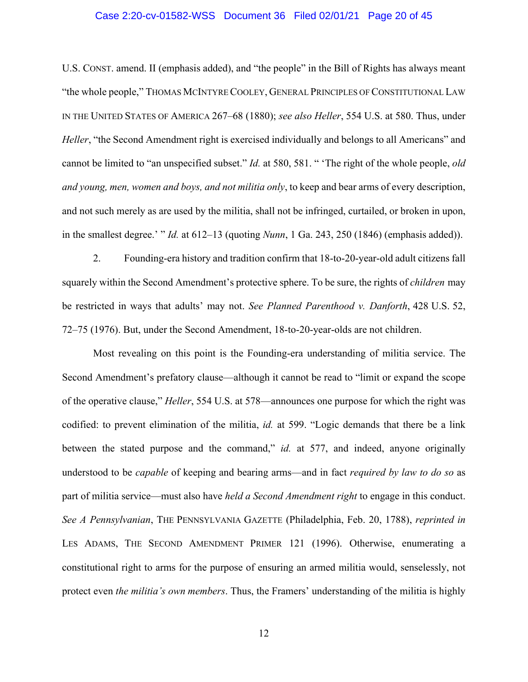#### Case 2:20-cv-01582-WSS Document 36 Filed 02/01/21 Page 20 of 45

U.S. CONST. amend. II (emphasis added), and "the people" in the Bill of Rights has always meant "the whole people," THOMAS MCINTYRE COOLEY, GENERAL PRINCIPLES OF CONSTITUTIONAL LAW IN THE UNITED STATES OF AMERICA 267–68 (1880); *see also Heller*, 554 U.S. at 580. Thus, under *Heller*, "the Second Amendment right is exercised individually and belongs to all Americans" and cannot be limited to "an unspecified subset." *Id.* at 580, 581. " 'The right of the whole people, *old and young, men, women and boys, and not militia only*, to keep and bear arms of every description, and not such merely as are used by the militia, shall not be infringed, curtailed, or broken in upon, in the smallest degree.' " *Id.* at 612–13 (quoting *Nunn*, 1 Ga. 243, 250 (1846) (emphasis added)).

2. Founding-era history and tradition confirm that 18-to-20-year-old adult citizens fall squarely within the Second Amendment's protective sphere. To be sure, the rights of *children* may be restricted in ways that adults' may not. *See Planned Parenthood v. Danforth*, 428 U.S. 52, 72–75 (1976). But, under the Second Amendment, 18-to-20-year-olds are not children.

Most revealing on this point is the Founding-era understanding of militia service. The Second Amendment's prefatory clause—although it cannot be read to "limit or expand the scope of the operative clause," *Heller*, 554 U.S. at 578—announces one purpose for which the right was codified: to prevent elimination of the militia, *id.* at 599. "Logic demands that there be a link between the stated purpose and the command," *id.* at 577, and indeed, anyone originally understood to be *capable* of keeping and bearing arms—and in fact *required by law to do so* as part of militia service—must also have *held a Second Amendment right* to engage in this conduct. *See A Pennsylvanian*, THE PENNSYLVANIA GAZETTE (Philadelphia, Feb. 20, 1788), *reprinted in*  LES ADAMS, THE SECOND AMENDMENT PRIMER 121 (1996). Otherwise, enumerating a constitutional right to arms for the purpose of ensuring an armed militia would, senselessly, not protect even *the militia's own members*. Thus, the Framers' understanding of the militia is highly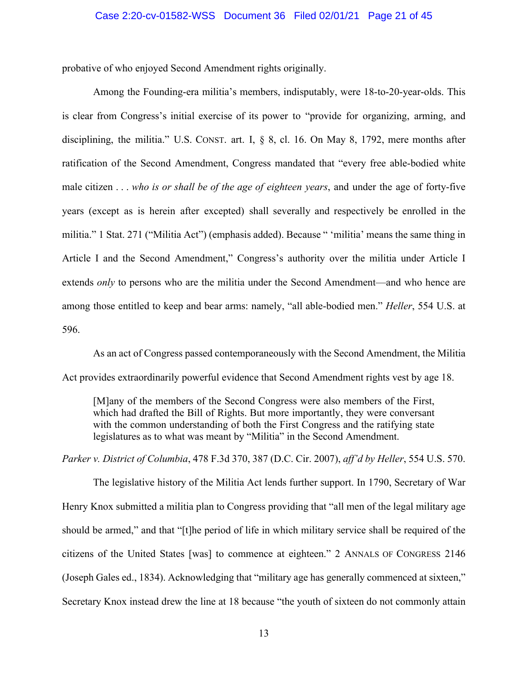#### Case 2:20-cv-01582-WSS Document 36 Filed 02/01/21 Page 21 of 45

probative of who enjoyed Second Amendment rights originally.

Among the Founding-era militia's members, indisputably, were 18-to-20-year-olds. This is clear from Congress's initial exercise of its power to "provide for organizing, arming, and disciplining, the militia." U.S. CONST. art. I, § 8, cl. 16. On May 8, 1792, mere months after ratification of the Second Amendment, Congress mandated that "every free able-bodied white male citizen . . . *who is or shall be of the age of eighteen years*, and under the age of forty-five years (except as is herein after excepted) shall severally and respectively be enrolled in the militia." 1 Stat. 271 ("Militia Act") (emphasis added). Because " 'militia' means the same thing in Article I and the Second Amendment," Congress's authority over the militia under Article I extends *only* to persons who are the militia under the Second Amendment—and who hence are among those entitled to keep and bear arms: namely, "all able-bodied men." *Heller*, 554 U.S. at 596.

As an act of Congress passed contemporaneously with the Second Amendment, the Militia Act provides extraordinarily powerful evidence that Second Amendment rights vest by age 18.

[M]any of the members of the Second Congress were also members of the First, which had drafted the Bill of Rights. But more importantly, they were conversant with the common understanding of both the First Congress and the ratifying state legislatures as to what was meant by "Militia" in the Second Amendment.

*Parker v. District of Columbia*, 478 F.3d 370, 387 (D.C. Cir. 2007), *aff'd by Heller*, 554 U.S. 570.

The legislative history of the Militia Act lends further support. In 1790, Secretary of War Henry Knox submitted a militia plan to Congress providing that "all men of the legal military age should be armed," and that "[t]he period of life in which military service shall be required of the citizens of the United States [was] to commence at eighteen." 2 ANNALS OF CONGRESS 2146 (Joseph Gales ed., 1834). Acknowledging that "military age has generally commenced at sixteen," Secretary Knox instead drew the line at 18 because "the youth of sixteen do not commonly attain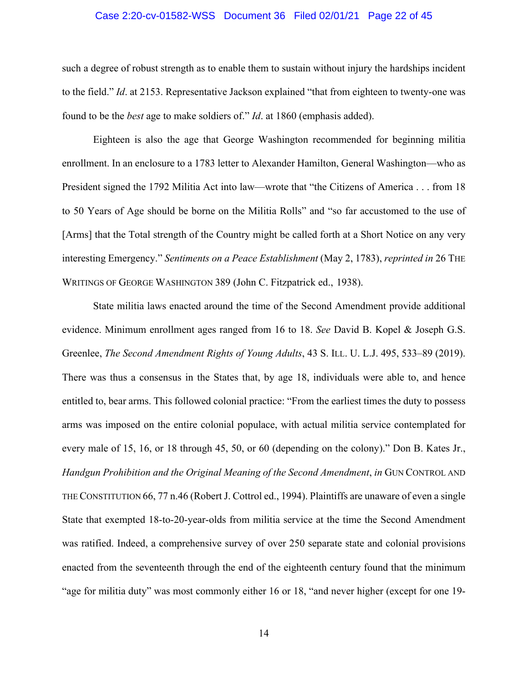#### Case 2:20-cv-01582-WSS Document 36 Filed 02/01/21 Page 22 of 45

such a degree of robust strength as to enable them to sustain without injury the hardships incident to the field." *Id*. at 2153. Representative Jackson explained "that from eighteen to twenty-one was found to be the *best* age to make soldiers of." *Id*. at 1860 (emphasis added).

Eighteen is also the age that George Washington recommended for beginning militia enrollment. In an enclosure to a 1783 letter to Alexander Hamilton, General Washington—who as President signed the 1792 Militia Act into law—wrote that "the Citizens of America . . . from 18 to 50 Years of Age should be borne on the Militia Rolls" and "so far accustomed to the use of [Arms] that the Total strength of the Country might be called forth at a Short Notice on any very interesting Emergency." *Sentiments on a Peace Establishment* (May 2, 1783), *reprinted in* 26 THE WRITINGS OF GEORGE WASHINGTON 389 (John C. Fitzpatrick ed., 1938).

State militia laws enacted around the time of the Second Amendment provide additional evidence. Minimum enrollment ages ranged from 16 to 18. *See* David B. Kopel & Joseph G.S. Greenlee, *The Second Amendment Rights of Young Adults*, 43 S. ILL. U. L.J. 495, 533–89 (2019). There was thus a consensus in the States that, by age 18, individuals were able to, and hence entitled to, bear arms. This followed colonial practice: "From the earliest times the duty to possess arms was imposed on the entire colonial populace, with actual militia service contemplated for every male of 15, 16, or 18 through 45, 50, or 60 (depending on the colony)." Don B. Kates Jr., *Handgun Prohibition and the Original Meaning of the Second Amendment*, *in* GUN CONTROL AND THE CONSTITUTION 66, 77 n.46 (Robert J. Cottrol ed., 1994). Plaintiffs are unaware of even a single State that exempted 18-to-20-year-olds from militia service at the time the Second Amendment was ratified. Indeed, a comprehensive survey of over 250 separate state and colonial provisions enacted from the seventeenth through the end of the eighteenth century found that the minimum "age for militia duty" was most commonly either 16 or 18, "and never higher (except for one 19-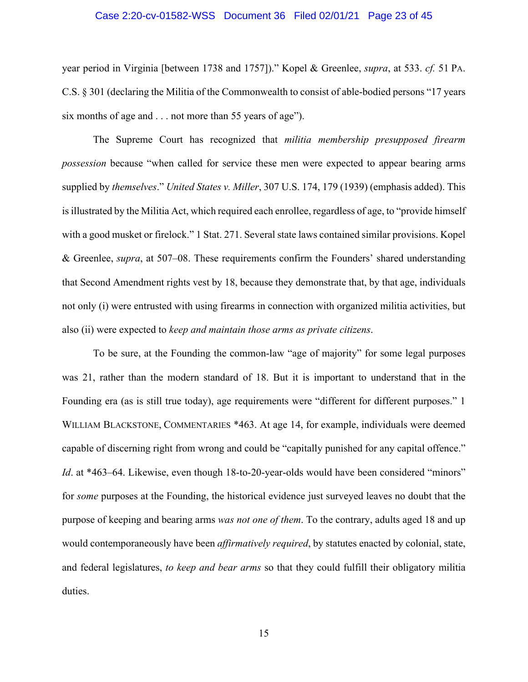#### Case 2:20-cv-01582-WSS Document 36 Filed 02/01/21 Page 23 of 45

year period in Virginia [between 1738 and 1757])." Kopel & Greenlee, *supra*, at 533. *cf.* 51 PA. C.S. § 301 (declaring the Militia of the Commonwealth to consist of able-bodied persons "17 years six months of age and . . . not more than 55 years of age").

The Supreme Court has recognized that *militia membership presupposed firearm possession* because "when called for service these men were expected to appear bearing arms supplied by *themselves*." *United States v. Miller*, 307 U.S. 174, 179 (1939) (emphasis added). This is illustrated by the Militia Act, which required each enrollee, regardless of age, to "provide himself with a good musket or firelock." 1 Stat. 271. Several state laws contained similar provisions. Kopel & Greenlee, *supra*, at 507–08. These requirements confirm the Founders' shared understanding that Second Amendment rights vest by 18, because they demonstrate that, by that age, individuals not only (i) were entrusted with using firearms in connection with organized militia activities, but also (ii) were expected to *keep and maintain those arms as private citizens*.

To be sure, at the Founding the common-law "age of majority" for some legal purposes was 21, rather than the modern standard of 18. But it is important to understand that in the Founding era (as is still true today), age requirements were "different for different purposes." 1 WILLIAM BLACKSTONE, COMMENTARIES \*463. At age 14, for example, individuals were deemed capable of discerning right from wrong and could be "capitally punished for any capital offence." *Id.* at \*463–64. Likewise, even though 18-to-20-year-olds would have been considered "minors" for *some* purposes at the Founding, the historical evidence just surveyed leaves no doubt that the purpose of keeping and bearing arms *was not one of them*. To the contrary, adults aged 18 and up would contemporaneously have been *affirmatively required*, by statutes enacted by colonial, state, and federal legislatures, *to keep and bear arms* so that they could fulfill their obligatory militia duties.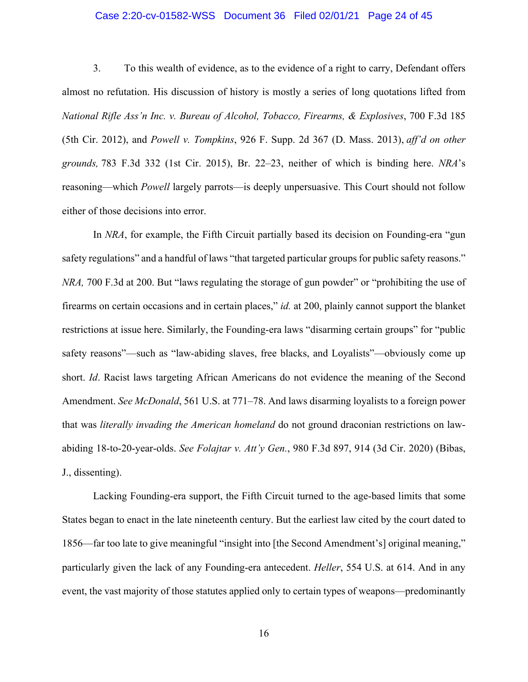#### Case 2:20-cv-01582-WSS Document 36 Filed 02/01/21 Page 24 of 45

3. To this wealth of evidence, as to the evidence of a right to carry, Defendant offers almost no refutation. His discussion of history is mostly a series of long quotations lifted from *National Rifle Ass'n Inc. v. Bureau of Alcohol, Tobacco, Firearms, & Explosives*, 700 F.3d 185 (5th Cir. 2012), and *Powell v. Tompkins*, 926 F. Supp. 2d 367 (D. Mass. 2013), *aff'd on other grounds,* 783 F.3d 332 (1st Cir. 2015), Br. 22–23, neither of which is binding here. *NRA*'s reasoning—which *Powell* largely parrots—is deeply unpersuasive. This Court should not follow either of those decisions into error.

In *NRA*, for example, the Fifth Circuit partially based its decision on Founding-era "gun safety regulations" and a handful of laws "that targeted particular groups for public safety reasons." *NRA,* 700 F.3d at 200. But "laws regulating the storage of gun powder" or "prohibiting the use of firearms on certain occasions and in certain places," *id.* at 200, plainly cannot support the blanket restrictions at issue here. Similarly, the Founding-era laws "disarming certain groups" for "public safety reasons"—such as "law-abiding slaves, free blacks, and Loyalists"—obviously come up short. *Id*. Racist laws targeting African Americans do not evidence the meaning of the Second Amendment. *See McDonald*, 561 U.S. at 771–78. And laws disarming loyalists to a foreign power that was *literally invading the American homeland* do not ground draconian restrictions on lawabiding 18-to-20-year-olds. *See Folajtar v. Att'y Gen.*, 980 F.3d 897, 914 (3d Cir. 2020) (Bibas, J., dissenting).

Lacking Founding-era support, the Fifth Circuit turned to the age-based limits that some States began to enact in the late nineteenth century. But the earliest law cited by the court dated to 1856—far too late to give meaningful "insight into [the Second Amendment's] original meaning," particularly given the lack of any Founding-era antecedent. *Heller*, 554 U.S. at 614. And in any event, the vast majority of those statutes applied only to certain types of weapons—predominantly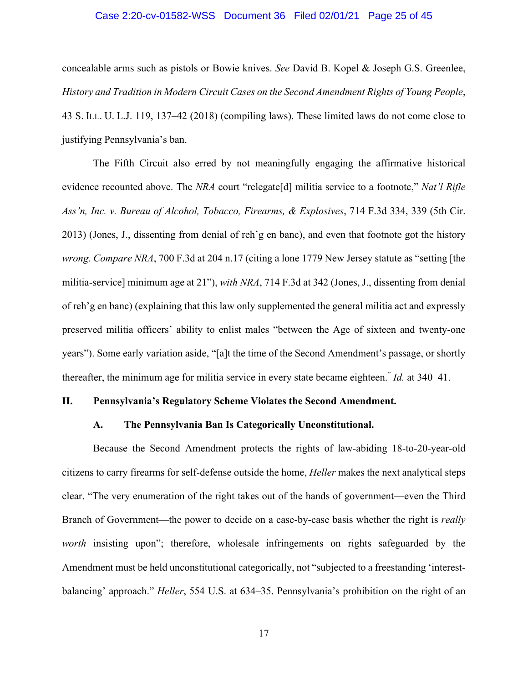#### Case 2:20-cv-01582-WSS Document 36 Filed 02/01/21 Page 25 of 45

concealable arms such as pistols or Bowie knives. *See* David B. Kopel & Joseph G.S. Greenlee, *History and Tradition in Modern Circuit Cases on the Second Amendment Rights of Young People*, 43 S. ILL. U. L.J. 119, 137–42 (2018) (compiling laws). These limited laws do not come close to justifying Pennsylvania's ban.

The Fifth Circuit also erred by not meaningfully engaging the affirmative historical evidence recounted above. The *NRA* court "relegate[d] militia service to a footnote," *Nat'l Rifle Ass'n, Inc. v. Bureau of Alcohol, Tobacco, Firearms, & Explosives*, 714 F.3d 334, 339 (5th Cir. 2013) (Jones, J., dissenting from denial of reh'g en banc), and even that footnote got the history *wrong*. *Compare NRA*, 700 F.3d at 204 n.17 (citing a lone 1779 New Jersey statute as "setting [the militia-service] minimum age at 21"), *with NRA*, 714 F.3d at 342 (Jones, J., dissenting from denial of reh'g en banc) (explaining that this law only supplemented the general militia act and expressly preserved militia officers' ability to enlist males "between the Age of sixteen and twenty-one years"). Some early variation aside, "[a]t the time of the Second Amendment's passage, or shortly thereafter, the minimum age for militia service in every state became eighteen." *Id.* at 340–41.

#### **II. Pennsylvania's Regulatory Scheme Violates the Second Amendment.**

#### **A. The Pennsylvania Ban Is Categorically Unconstitutional.**

Because the Second Amendment protects the rights of law-abiding 18-to-20-year-old citizens to carry firearms for self-defense outside the home, *Heller* makes the next analytical steps clear. "The very enumeration of the right takes out of the hands of government—even the Third Branch of Government—the power to decide on a case-by-case basis whether the right is *really worth* insisting upon"; therefore, wholesale infringements on rights safeguarded by the Amendment must be held unconstitutional categorically, not "subjected to a freestanding 'interestbalancing' approach." *Heller*, 554 U.S. at 634–35. Pennsylvania's prohibition on the right of an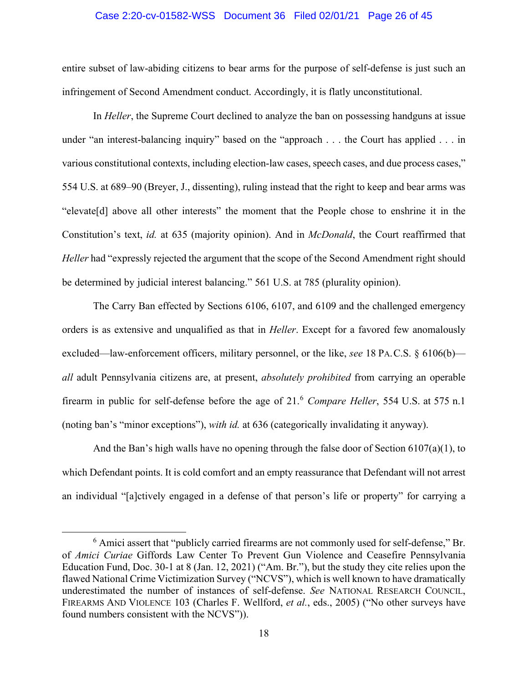#### Case 2:20-cv-01582-WSS Document 36 Filed 02/01/21 Page 26 of 45

entire subset of law-abiding citizens to bear arms for the purpose of self-defense is just such an infringement of Second Amendment conduct. Accordingly, it is flatly unconstitutional.

In *Heller*, the Supreme Court declined to analyze the ban on possessing handguns at issue under "an interest-balancing inquiry" based on the "approach . . . the Court has applied . . . in various constitutional contexts, including election-law cases, speech cases, and due process cases," 554 U.S. at 689–90 (Breyer, J., dissenting), ruling instead that the right to keep and bear arms was "elevate[d] above all other interests" the moment that the People chose to enshrine it in the Constitution's text, *id.* at 635 (majority opinion). And in *McDonald*, the Court reaffirmed that *Heller* had "expressly rejected the argument that the scope of the Second Amendment right should be determined by judicial interest balancing." 561 U.S. at 785 (plurality opinion).

The Carry Ban effected by Sections 6106, 6107, and 6109 and the challenged emergency orders is as extensive and unqualified as that in *Heller*. Except for a favored few anomalously excluded—law-enforcement officers, military personnel, or the like, *see* 18 PA.C.S. § 6106(b) *all* adult Pennsylvania citizens are, at present, *absolutely prohibited* from carrying an operable firearm in public for self-defense before the age of 21.<sup>6</sup> *Compare Heller*, 554 U.S. at 575 n.1 (noting ban's "minor exceptions"), *with id.* at 636 (categorically invalidating it anyway).

And the Ban's high walls have no opening through the false door of Section 6107(a)(1), to which Defendant points. It is cold comfort and an empty reassurance that Defendant will not arrest an individual "[a]ctively engaged in a defense of that person's life or property" for carrying a

<sup>&</sup>lt;sup>6</sup> Amici assert that "publicly carried firearms are not commonly used for self-defense," Br. of *Amici Curiae* Giffords Law Center To Prevent Gun Violence and Ceasefire Pennsylvania Education Fund, Doc. 30-1 at 8 (Jan. 12, 2021) ("Am. Br."), but the study they cite relies upon the flawed National Crime Victimization Survey ("NCVS"), which is well known to have dramatically underestimated the number of instances of self-defense. *See* NATIONAL RESEARCH COUNCIL, FIREARMS AND VIOLENCE 103 (Charles F. Wellford, *et al.*, eds., 2005) ("No other surveys have found numbers consistent with the NCVS")).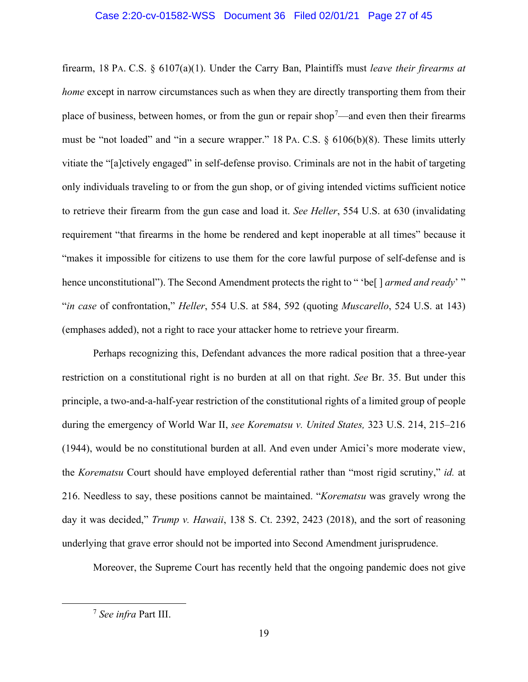#### Case 2:20-cv-01582-WSS Document 36 Filed 02/01/21 Page 27 of 45

firearm, 18 PA. C.S. § 6107(a)(1). Under the Carry Ban, Plaintiffs must *leave their firearms at home* except in narrow circumstances such as when they are directly transporting them from their place of business, between homes, or from the gun or repair shop<sup>7</sup>—and even then their firearms must be "not loaded" and "in a secure wrapper." 18 PA. C.S. § 6106(b)(8). These limits utterly vitiate the "[a]ctively engaged" in self-defense proviso. Criminals are not in the habit of targeting only individuals traveling to or from the gun shop, or of giving intended victims sufficient notice to retrieve their firearm from the gun case and load it. *See Heller*, 554 U.S. at 630 (invalidating requirement "that firearms in the home be rendered and kept inoperable at all times" because it "makes it impossible for citizens to use them for the core lawful purpose of self-defense and is hence unconstitutional"). The Second Amendment protects the right to " 'be[ ] *armed and ready*' " "*in case* of confrontation," *Heller*, 554 U.S. at 584, 592 (quoting *Muscarello*, 524 U.S. at 143) (emphases added), not a right to race your attacker home to retrieve your firearm.

Perhaps recognizing this, Defendant advances the more radical position that a three-year restriction on a constitutional right is no burden at all on that right. *See* Br. 35. But under this principle, a two-and-a-half-year restriction of the constitutional rights of a limited group of people during the emergency of World War II, *see Korematsu v. United States,* 323 U.S. 214, 215–216 (1944), would be no constitutional burden at all. And even under Amici's more moderate view, the *Korematsu* Court should have employed deferential rather than "most rigid scrutiny," *id.* at 216. Needless to say, these positions cannot be maintained. "*Korematsu* was gravely wrong the day it was decided," *Trump v. Hawaii*, 138 S. Ct. 2392, 2423 (2018), and the sort of reasoning underlying that grave error should not be imported into Second Amendment jurisprudence.

Moreover, the Supreme Court has recently held that the ongoing pandemic does not give

<sup>7</sup> *See infra* Part III.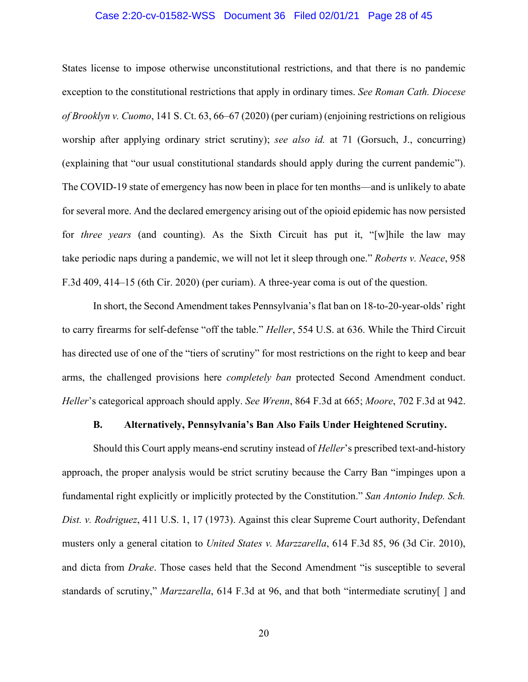#### Case 2:20-cv-01582-WSS Document 36 Filed 02/01/21 Page 28 of 45

States license to impose otherwise unconstitutional restrictions, and that there is no pandemic exception to the constitutional restrictions that apply in ordinary times. *See Roman Cath. Diocese of Brooklyn v. Cuomo*, 141 S. Ct. 63, 66–67 (2020) (per curiam) (enjoining restrictions on religious worship after applying ordinary strict scrutiny); *see also id.* at 71 (Gorsuch, J., concurring) (explaining that "our usual constitutional standards should apply during the current pandemic"). The COVID-19 state of emergency has now been in place for ten months—and is unlikely to abate for several more. And the declared emergency arising out of the opioid epidemic has now persisted for *three years* (and counting). As the Sixth Circuit has put it, "[w]hile the law may take periodic naps during a pandemic, we will not let it sleep through one." *Roberts v. Neace*, 958 F.3d 409, 414–15 (6th Cir. 2020) (per curiam). A three-year coma is out of the question.

In short, the Second Amendment takes Pennsylvania's flat ban on 18-to-20-year-olds' right to carry firearms for self-defense "off the table." *Heller*, 554 U.S. at 636. While the Third Circuit has directed use of one of the "tiers of scrutiny" for most restrictions on the right to keep and bear arms, the challenged provisions here *completely ban* protected Second Amendment conduct. *Heller*'s categorical approach should apply. *See Wrenn*, 864 F.3d at 665; *Moore*, 702 F.3d at 942.

#### **B. Alternatively, Pennsylvania's Ban Also Fails Under Heightened Scrutiny.**

Should this Court apply means-end scrutiny instead of *Heller*'s prescribed text-and-history approach, the proper analysis would be strict scrutiny because the Carry Ban "impinges upon a fundamental right explicitly or implicitly protected by the Constitution." *San Antonio Indep. Sch. Dist. v. Rodriguez*, 411 U.S. 1, 17 (1973). Against this clear Supreme Court authority, Defendant musters only a general citation to *United States v. Marzzarella*, 614 F.3d 85, 96 (3d Cir. 2010), and dicta from *Drake*. Those cases held that the Second Amendment "is susceptible to several standards of scrutiny," *Marzzarella*, 614 F.3d at 96, and that both "intermediate scrutiny[ ] and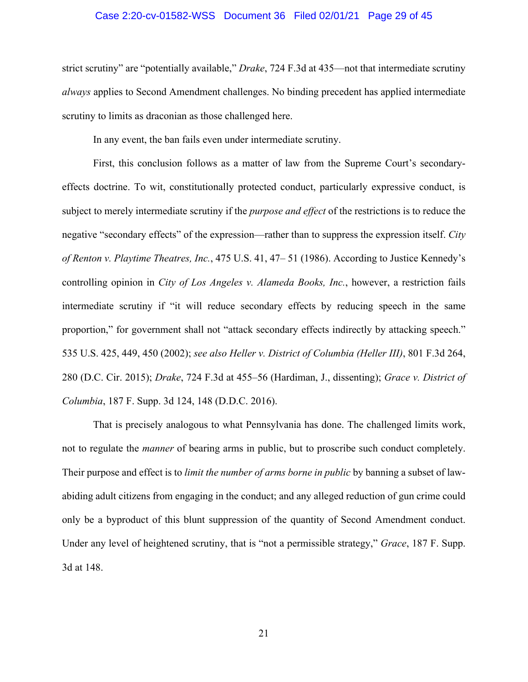#### Case 2:20-cv-01582-WSS Document 36 Filed 02/01/21 Page 29 of 45

strict scrutiny" are "potentially available," *Drake*, 724 F.3d at 435—not that intermediate scrutiny *always* applies to Second Amendment challenges. No binding precedent has applied intermediate scrutiny to limits as draconian as those challenged here.

In any event, the ban fails even under intermediate scrutiny.

First, this conclusion follows as a matter of law from the Supreme Court's secondaryeffects doctrine. To wit, constitutionally protected conduct, particularly expressive conduct, is subject to merely intermediate scrutiny if the *purpose and effect* of the restrictions is to reduce the negative "secondary effects" of the expression—rather than to suppress the expression itself. *City of Renton v. Playtime Theatres, Inc.*, 475 U.S. 41, 47– 51 (1986). According to Justice Kennedy's controlling opinion in *City of Los Angeles v. Alameda Books, Inc.*, however, a restriction fails intermediate scrutiny if "it will reduce secondary effects by reducing speech in the same proportion," for government shall not "attack secondary effects indirectly by attacking speech." 535 U.S. 425, 449, 450 (2002); *see also Heller v. District of Columbia (Heller III)*, 801 F.3d 264, 280 (D.C. Cir. 2015); *Drake*, 724 F.3d at 455–56 (Hardiman, J., dissenting); *Grace v. District of Columbia*, 187 F. Supp. 3d 124, 148 (D.D.C. 2016).

That is precisely analogous to what Pennsylvania has done. The challenged limits work, not to regulate the *manner* of bearing arms in public, but to proscribe such conduct completely. Their purpose and effect is to *limit the number of arms borne in public* by banning a subset of lawabiding adult citizens from engaging in the conduct; and any alleged reduction of gun crime could only be a byproduct of this blunt suppression of the quantity of Second Amendment conduct. Under any level of heightened scrutiny, that is "not a permissible strategy," *Grace*, 187 F. Supp. 3d at 148.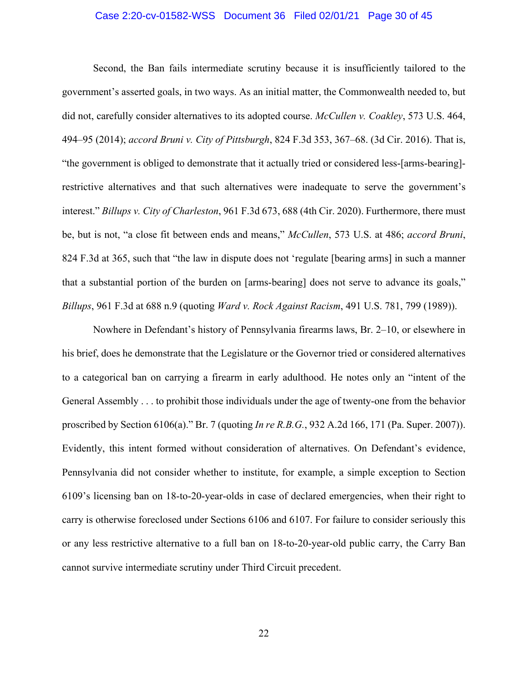#### Case 2:20-cv-01582-WSS Document 36 Filed 02/01/21 Page 30 of 45

Second, the Ban fails intermediate scrutiny because it is insufficiently tailored to the government's asserted goals, in two ways. As an initial matter, the Commonwealth needed to, but did not, carefully consider alternatives to its adopted course. *McCullen v. Coakley*, 573 U.S. 464, 494–95 (2014); *accord Bruni v. City of Pittsburgh*, 824 F.3d 353, 367–68. (3d Cir. 2016). That is, "the government is obliged to demonstrate that it actually tried or considered less-[arms-bearing] restrictive alternatives and that such alternatives were inadequate to serve the government's interest." *Billups v. City of Charleston*, 961 F.3d 673, 688 (4th Cir. 2020). Furthermore, there must be, but is not, "a close fit between ends and means," *McCullen*, 573 U.S. at 486; *accord Bruni*, 824 F.3d at 365, such that "the law in dispute does not 'regulate [bearing arms] in such a manner that a substantial portion of the burden on [arms-bearing] does not serve to advance its goals," *Billups*, 961 F.3d at 688 n.9 (quoting *Ward v. Rock Against Racism*, 491 U.S. 781, 799 (1989)).

Nowhere in Defendant's history of Pennsylvania firearms laws, Br. 2–10, or elsewhere in his brief, does he demonstrate that the Legislature or the Governor tried or considered alternatives to a categorical ban on carrying a firearm in early adulthood. He notes only an "intent of the General Assembly . . . to prohibit those individuals under the age of twenty-one from the behavior proscribed by Section 6106(a)." Br. 7 (quoting *In re R.B.G.*, 932 A.2d 166, 171 (Pa. Super. 2007)). Evidently, this intent formed without consideration of alternatives. On Defendant's evidence, Pennsylvania did not consider whether to institute, for example, a simple exception to Section 6109's licensing ban on 18-to-20-year-olds in case of declared emergencies, when their right to carry is otherwise foreclosed under Sections 6106 and 6107. For failure to consider seriously this or any less restrictive alternative to a full ban on 18-to-20-year-old public carry, the Carry Ban cannot survive intermediate scrutiny under Third Circuit precedent.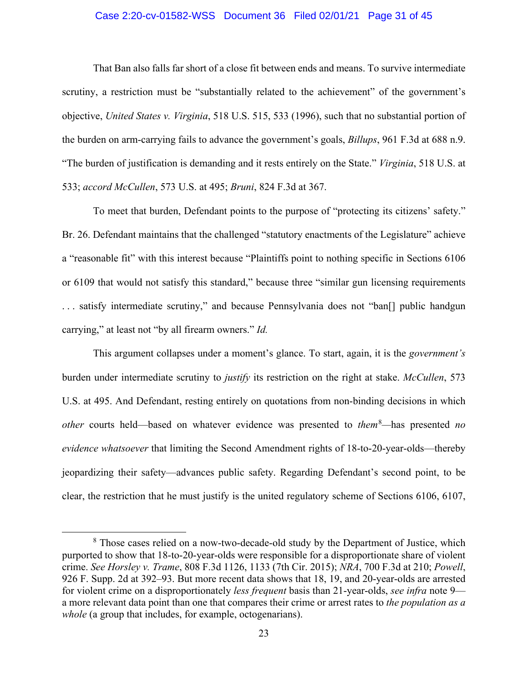#### Case 2:20-cv-01582-WSS Document 36 Filed 02/01/21 Page 31 of 45

That Ban also falls far short of a close fit between ends and means. To survive intermediate scrutiny, a restriction must be "substantially related to the achievement" of the government's objective, *United States v. Virginia*, 518 U.S. 515, 533 (1996), such that no substantial portion of the burden on arm-carrying fails to advance the government's goals, *Billups*, 961 F.3d at 688 n.9. "The burden of justification is demanding and it rests entirely on the State." *Virginia*, 518 U.S. at 533; *accord McCullen*, 573 U.S. at 495; *Bruni*, 824 F.3d at 367.

To meet that burden, Defendant points to the purpose of "protecting its citizens' safety." Br. 26. Defendant maintains that the challenged "statutory enactments of the Legislature" achieve a "reasonable fit" with this interest because "Plaintiffs point to nothing specific in Sections 6106 or 6109 that would not satisfy this standard," because three "similar gun licensing requirements ... satisfy intermediate scrutiny," and because Pennsylvania does not "ban<sup>[]</sup> public handgun carrying," at least not "by all firearm owners." *Id.*

This argument collapses under a moment's glance. To start, again, it is the *government's* burden under intermediate scrutiny to *justify* its restriction on the right at stake. *McCullen*, 573 U.S. at 495. And Defendant, resting entirely on quotations from non-binding decisions in which *other* courts held—based on whatever evidence was presented to *them*<sup>8</sup> *—*has presented *no evidence whatsoever* that limiting the Second Amendment rights of 18-to-20-year-olds—thereby jeopardizing their safety—advances public safety. Regarding Defendant's second point, to be clear, the restriction that he must justify is the united regulatory scheme of Sections 6106, 6107,

<sup>&</sup>lt;sup>8</sup> Those cases relied on a now-two-decade-old study by the Department of Justice, which purported to show that 18-to-20-year-olds were responsible for a disproportionate share of violent crime. *See Horsley v. Trame*, 808 F.3d 1126, 1133 (7th Cir. 2015); *NRA*, 700 F.3d at 210; *Powell*, 926 F. Supp. 2d at 392–93. But more recent data shows that 18, 19, and 20-year-olds are arrested for violent crime on a disproportionately *less frequent* basis than 21-year-olds, *see infra* note 9 a more relevant data point than one that compares their crime or arrest rates to *the population as a*  whole (a group that includes, for example, octogenarians).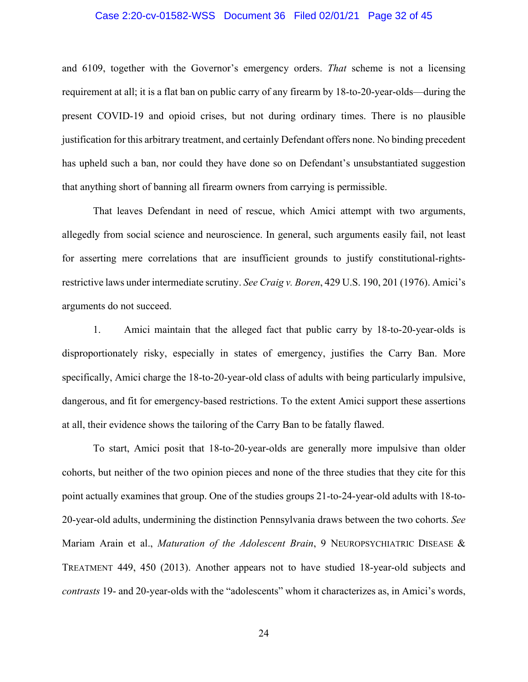#### Case 2:20-cv-01582-WSS Document 36 Filed 02/01/21 Page 32 of 45

and 6109, together with the Governor's emergency orders. *That* scheme is not a licensing requirement at all; it is a flat ban on public carry of any firearm by 18-to-20-year-olds—during the present COVID-19 and opioid crises, but not during ordinary times. There is no plausible justification for this arbitrary treatment, and certainly Defendant offers none. No binding precedent has upheld such a ban, nor could they have done so on Defendant's unsubstantiated suggestion that anything short of banning all firearm owners from carrying is permissible.

That leaves Defendant in need of rescue, which Amici attempt with two arguments, allegedly from social science and neuroscience. In general, such arguments easily fail, not least for asserting mere correlations that are insufficient grounds to justify constitutional-rightsrestrictive laws under intermediate scrutiny. *See Craig v. Boren*, 429 U.S. 190, 201 (1976). Amici's arguments do not succeed.

1. Amici maintain that the alleged fact that public carry by 18-to-20-year-olds is disproportionately risky, especially in states of emergency, justifies the Carry Ban. More specifically, Amici charge the 18-to-20-year-old class of adults with being particularly impulsive, dangerous, and fit for emergency-based restrictions. To the extent Amici support these assertions at all, their evidence shows the tailoring of the Carry Ban to be fatally flawed.

To start, Amici posit that 18-to-20-year-olds are generally more impulsive than older cohorts, but neither of the two opinion pieces and none of the three studies that they cite for this point actually examines that group. One of the studies groups 21-to-24-year-old adults with 18-to-20-year-old adults, undermining the distinction Pennsylvania draws between the two cohorts. *See*  Mariam Arain et al., *Maturation of the Adolescent Brain*, 9 NEUROPSYCHIATRIC DISEASE & TREATMENT 449, 450 (2013). Another appears not to have studied 18-year-old subjects and *contrasts* 19- and 20-year-olds with the "adolescents" whom it characterizes as, in Amici's words,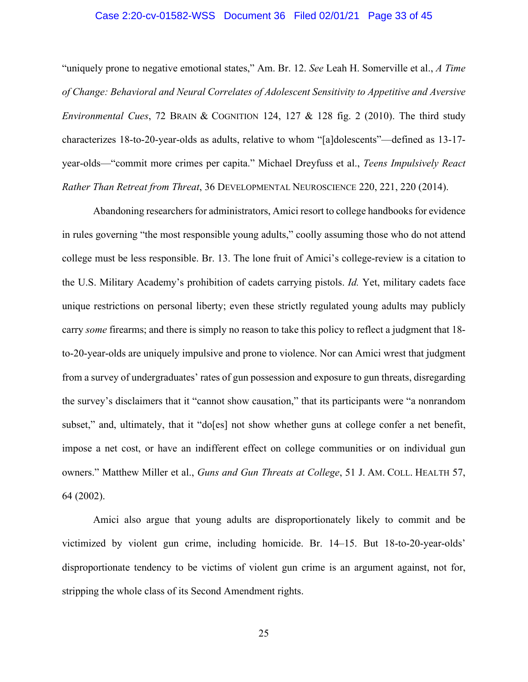#### Case 2:20-cv-01582-WSS Document 36 Filed 02/01/21 Page 33 of 45

"uniquely prone to negative emotional states," Am. Br. 12. *See* Leah H. Somerville et al., *A Time of Change: Behavioral and Neural Correlates of Adolescent Sensitivity to Appetitive and Aversive Environmental Cues*, 72 BRAIN & COGNITION 124, 127 & 128 fig. 2 (2010). The third study characterizes 18-to-20-year-olds as adults, relative to whom "[a]dolescents"—defined as 13-17 year-olds—"commit more crimes per capita." Michael Dreyfuss et al., *Teens Impulsively React Rather Than Retreat from Threat*, 36 DEVELOPMENTAL NEUROSCIENCE 220, 221, 220 (2014).

Abandoning researchers for administrators, Amici resort to college handbooks for evidence in rules governing "the most responsible young adults," coolly assuming those who do not attend college must be less responsible. Br. 13. The lone fruit of Amici's college-review is a citation to the U.S. Military Academy's prohibition of cadets carrying pistols. *Id.* Yet, military cadets face unique restrictions on personal liberty; even these strictly regulated young adults may publicly carry *some* firearms; and there is simply no reason to take this policy to reflect a judgment that 18 to-20-year-olds are uniquely impulsive and prone to violence. Nor can Amici wrest that judgment from a survey of undergraduates' rates of gun possession and exposure to gun threats, disregarding the survey's disclaimers that it "cannot show causation," that its participants were "a nonrandom subset," and, ultimately, that it "do[es] not show whether guns at college confer a net benefit, impose a net cost, or have an indifferent effect on college communities or on individual gun owners." Matthew Miller et al., *Guns and Gun Threats at College*, 51 J. AM. COLL. HEALTH 57, 64 (2002).

Amici also argue that young adults are disproportionately likely to commit and be victimized by violent gun crime, including homicide. Br. 14–15. But 18-to-20-year-olds' disproportionate tendency to be victims of violent gun crime is an argument against, not for, stripping the whole class of its Second Amendment rights.

25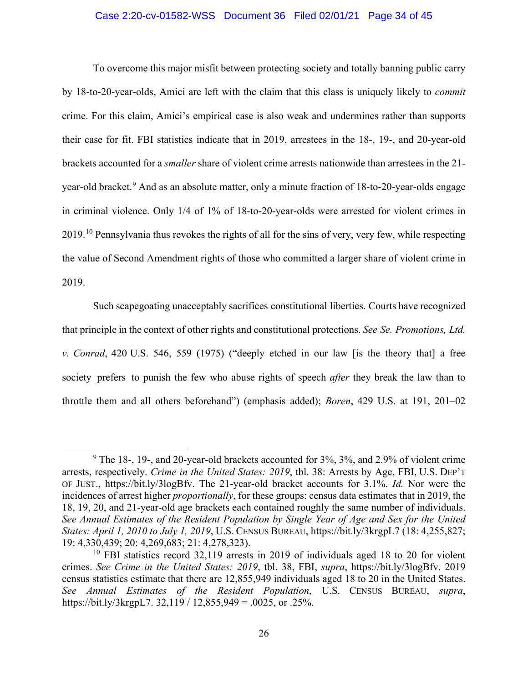#### Case 2:20-cv-01582-WSS Document 36 Filed 02/01/21 Page 34 of 45

To overcome this major misfit between protecting society and totally banning public carry by 18-to-20-year-olds, Amici are left with the claim that this class is uniquely likely to *commit* crime. For this claim, Amici's empirical case is also weak and undermines rather than supports their case for fit. FBI statistics indicate that in 2019, arrestees in the 18-, 19-, and 20-year-old brackets accounted for a *smaller* share of violent crime arrests nationwide than arrestees in the 21 year-old bracket.<sup>9</sup> And as an absolute matter, only a minute fraction of 18-to-20-year-olds engage in criminal violence. Only 1/4 of 1% of 18-to-20-year-olds were arrested for violent crimes in 2019.<sup>10</sup> Pennsylvania thus revokes the rights of all for the sins of very, very few, while respecting the value of Second Amendment rights of those who committed a larger share of violent crime in 2019.

Such scapegoating unacceptably sacrifices constitutional liberties. Courts have recognized that principle in the context of other rights and constitutional protections. *See Se. Promotions, Ltd. v. Conrad*, 420 U.S. 546, 559 (1975) ("deeply etched in our law [is the theory that] a free society prefers to punish the few who abuse rights of speech *after* they break the law than to throttle them and all others beforehand") (emphasis added); *Boren*, 429 U.S. at 191, 201–02

 $9$  The 18-, 19-, and 20-year-old brackets accounted for 3%, 3%, and 2.9% of violent crime arrests, respectively. *Crime in the United States: 2019*, tbl. 38: Arrests by Age, FBI, U.S. DEP'T OF JUST., https://bit.ly/3logBfv. The 21-year-old bracket accounts for 3.1%. *Id.* Nor were the incidences of arrest higher *proportionally*, for these groups: census data estimates that in 2019, the 18, 19, 20, and 21-year-old age brackets each contained roughly the same number of individuals. *See Annual Estimates of the Resident Population by Single Year of Age and Sex for the United States: April 1, 2010 to July 1, 2019*, U.S. CENSUS BUREAU, https://bit.ly/3krgpL7 (18: 4,255,827; 19: 4,330,439; 20: 4,269,683; 21: 4,278,323).

 $10$  FBI statistics record 32,119 arrests in 2019 of individuals aged 18 to 20 for violent crimes. *See Crime in the United States: 2019*, tbl. 38, FBI, *supra*, https://bit.ly/3logBfv. 2019 census statistics estimate that there are 12,855,949 individuals aged 18 to 20 in the United States. *See Annual Estimates of the Resident Population*, U.S. CENSUS BUREAU, *supra*, https://bit.ly/3krgpL7. 32,119 / 12,855,949 = .0025, or .25%.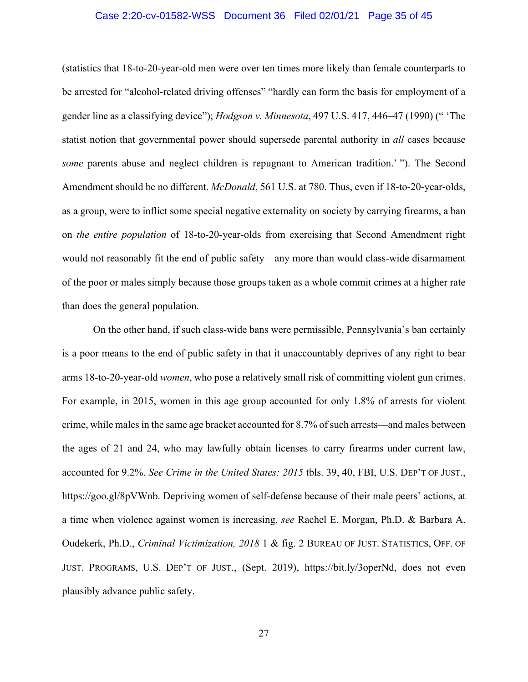#### Case 2:20-cv-01582-WSS Document 36 Filed 02/01/21 Page 35 of 45

(statistics that 18-to-20-year-old men were over ten times more likely than female counterparts to be arrested for "alcohol-related driving offenses" "hardly can form the basis for employment of a gender line as a classifying device"); *Hodgson v. Minnesota*, 497 U.S. 417, 446–47 (1990) (" 'The statist notion that governmental power should supersede parental authority in *all* cases because *some* parents abuse and neglect children is repugnant to American tradition.' "). The Second Amendment should be no different. *McDonald*, 561 U.S. at 780. Thus, even if 18-to-20-year-olds, as a group, were to inflict some special negative externality on society by carrying firearms, a ban on *the entire population* of 18-to-20-year-olds from exercising that Second Amendment right would not reasonably fit the end of public safety—any more than would class-wide disarmament of the poor or males simply because those groups taken as a whole commit crimes at a higher rate than does the general population.

On the other hand, if such class-wide bans were permissible, Pennsylvania's ban certainly is a poor means to the end of public safety in that it unaccountably deprives of any right to bear arms 18-to-20-year-old *women*, who pose a relatively small risk of committing violent gun crimes. For example, in 2015, women in this age group accounted for only 1.8% of arrests for violent crime, while males in the same age bracket accounted for 8.7% of such arrests—and males between the ages of 21 and 24, who may lawfully obtain licenses to carry firearms under current law, accounted for 9.2%. *See Crime in the United States: 2015* tbls. 39, 40, FBI, U.S. DEP'T OF JUST., https://goo.gl/8pVWnb. Depriving women of self-defense because of their male peers' actions, at a time when violence against women is increasing, *see* Rachel E. Morgan, Ph.D. & Barbara A. Oudekerk, Ph.D., *Criminal Victimization, 2018* 1 & fig. 2 BUREAU OF JUST. STATISTICS, OFF. OF JUST. PROGRAMS, U.S. DEP'T OF JUST., (Sept. 2019), https://bit.ly/3operNd, does not even plausibly advance public safety.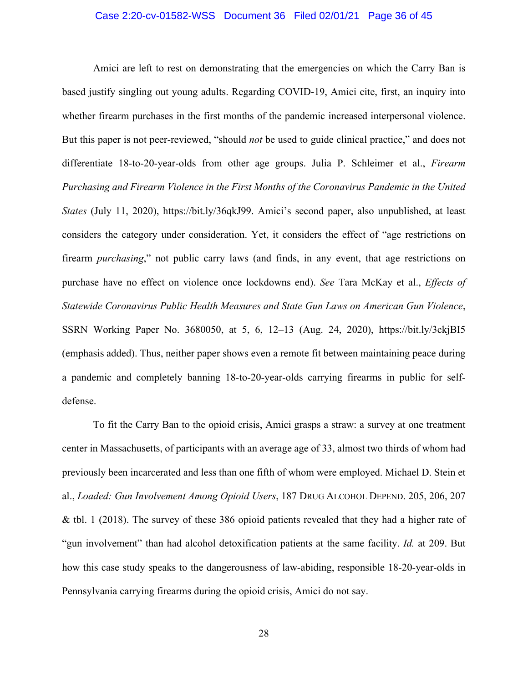#### Case 2:20-cv-01582-WSS Document 36 Filed 02/01/21 Page 36 of 45

Amici are left to rest on demonstrating that the emergencies on which the Carry Ban is based justify singling out young adults. Regarding COVID-19, Amici cite, first, an inquiry into whether firearm purchases in the first months of the pandemic increased interpersonal violence. But this paper is not peer-reviewed, "should *not* be used to guide clinical practice," and does not differentiate 18-to-20-year-olds from other age groups. Julia P. Schleimer et al., *Firearm Purchasing and Firearm Violence in the First Months of the Coronavirus Pandemic in the United States* (July 11, 2020), https://bit.ly/36qkJ99. Amici's second paper, also unpublished, at least considers the category under consideration. Yet, it considers the effect of "age restrictions on firearm *purchasing*," not public carry laws (and finds, in any event, that age restrictions on purchase have no effect on violence once lockdowns end). *See* Tara McKay et al., *Effects of Statewide Coronavirus Public Health Measures and State Gun Laws on American Gun Violence*, SSRN Working Paper No. 3680050, at 5, 6, 12–13 (Aug. 24, 2020), https://bit.ly/3ckjBI5 (emphasis added). Thus, neither paper shows even a remote fit between maintaining peace during a pandemic and completely banning 18-to-20-year-olds carrying firearms in public for selfdefense.

To fit the Carry Ban to the opioid crisis, Amici grasps a straw: a survey at one treatment center in Massachusetts, of participants with an average age of 33, almost two thirds of whom had previously been incarcerated and less than one fifth of whom were employed. Michael D. Stein et al., *Loaded: Gun Involvement Among Opioid Users*, 187 DRUG ALCOHOL DEPEND. 205, 206, 207 & tbl. 1 (2018). The survey of these 386 opioid patients revealed that they had a higher rate of "gun involvement" than had alcohol detoxification patients at the same facility. *Id.* at 209. But how this case study speaks to the dangerousness of law-abiding, responsible 18-20-year-olds in Pennsylvania carrying firearms during the opioid crisis, Amici do not say.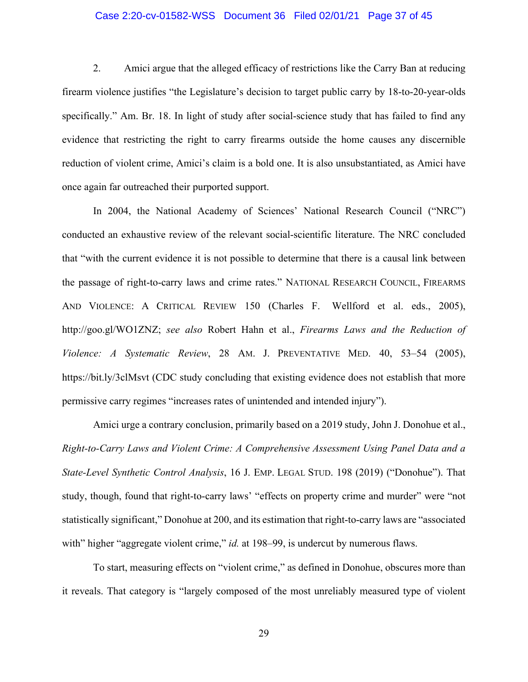#### Case 2:20-cv-01582-WSS Document 36 Filed 02/01/21 Page 37 of 45

2. Amici argue that the alleged efficacy of restrictions like the Carry Ban at reducing firearm violence justifies "the Legislature's decision to target public carry by 18-to-20-year-olds specifically." Am. Br. 18. In light of study after social-science study that has failed to find any evidence that restricting the right to carry firearms outside the home causes any discernible reduction of violent crime, Amici's claim is a bold one. It is also unsubstantiated, as Amici have once again far outreached their purported support.

In 2004, the National Academy of Sciences' National Research Council ("NRC") conducted an exhaustive review of the relevant social-scientific literature. The NRC concluded that "with the current evidence it is not possible to determine that there is a causal link between the passage of right-to-carry laws and crime rates." NATIONAL RESEARCH COUNCIL, FIREARMS AND VIOLENCE: A CRITICAL REVIEW 150 (Charles F. Wellford et al. eds., 2005), http://goo.gl/WO1ZNZ; *see also* Robert Hahn et al., *Firearms Laws and the Reduction of Violence: A Systematic Review*, 28 AM. J. PREVENTATIVE MED. 40, 53–54 (2005), https://bit.ly/3clMsvt (CDC study concluding that existing evidence does not establish that more permissive carry regimes "increases rates of unintended and intended injury").

Amici urge a contrary conclusion, primarily based on a 2019 study, John J. Donohue et al., *Right-to-Carry Laws and Violent Crime: A Comprehensive Assessment Using Panel Data and a State-Level Synthetic Control Analysis*, 16 J. EMP. LEGAL STUD. 198 (2019) ("Donohue"). That study, though, found that right-to-carry laws' "effects on property crime and murder" were "not statistically significant," Donohue at 200, and its estimation that right-to-carry laws are "associated with" higher "aggregate violent crime," *id.* at 198–99, is undercut by numerous flaws.

To start, measuring effects on "violent crime," as defined in Donohue, obscures more than it reveals. That category is "largely composed of the most unreliably measured type of violent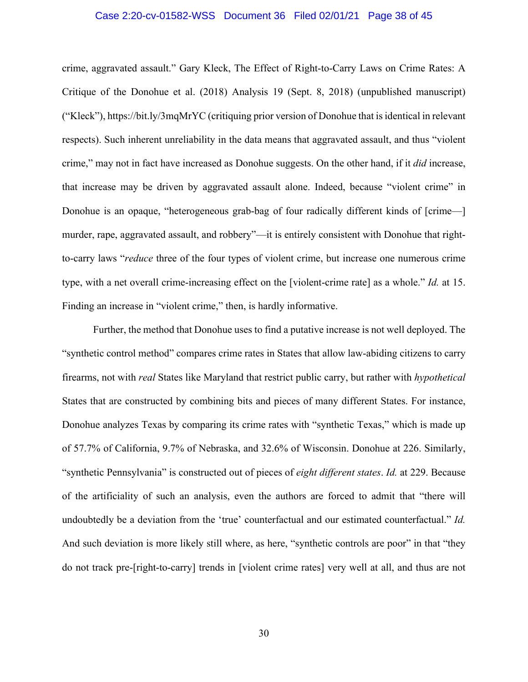#### Case 2:20-cv-01582-WSS Document 36 Filed 02/01/21 Page 38 of 45

crime, aggravated assault." Gary Kleck, The Effect of Right-to-Carry Laws on Crime Rates: A Critique of the Donohue et al. (2018) Analysis 19 (Sept. 8, 2018) (unpublished manuscript) ("Kleck"), https://bit.ly/3mqMrYC (critiquing prior version of Donohue that is identical in relevant respects). Such inherent unreliability in the data means that aggravated assault, and thus "violent crime," may not in fact have increased as Donohue suggests. On the other hand, if it *did* increase, that increase may be driven by aggravated assault alone. Indeed, because "violent crime" in Donohue is an opaque, "heterogeneous grab-bag of four radically different kinds of [crime—] murder, rape, aggravated assault, and robbery"—it is entirely consistent with Donohue that rightto-carry laws "*reduce* three of the four types of violent crime, but increase one numerous crime type, with a net overall crime-increasing effect on the [violent-crime rate] as a whole." *Id.* at 15. Finding an increase in "violent crime," then, is hardly informative.

Further, the method that Donohue uses to find a putative increase is not well deployed. The "synthetic control method" compares crime rates in States that allow law-abiding citizens to carry firearms, not with *real* States like Maryland that restrict public carry, but rather with *hypothetical*  States that are constructed by combining bits and pieces of many different States. For instance, Donohue analyzes Texas by comparing its crime rates with "synthetic Texas," which is made up of 57.7% of California, 9.7% of Nebraska, and 32.6% of Wisconsin. Donohue at 226. Similarly, "synthetic Pennsylvania" is constructed out of pieces of *eight different states*. *Id.* at 229. Because of the artificiality of such an analysis, even the authors are forced to admit that "there will undoubtedly be a deviation from the 'true' counterfactual and our estimated counterfactual." *Id.* And such deviation is more likely still where, as here, "synthetic controls are poor" in that "they do not track pre-[right-to-carry] trends in [violent crime rates] very well at all, and thus are not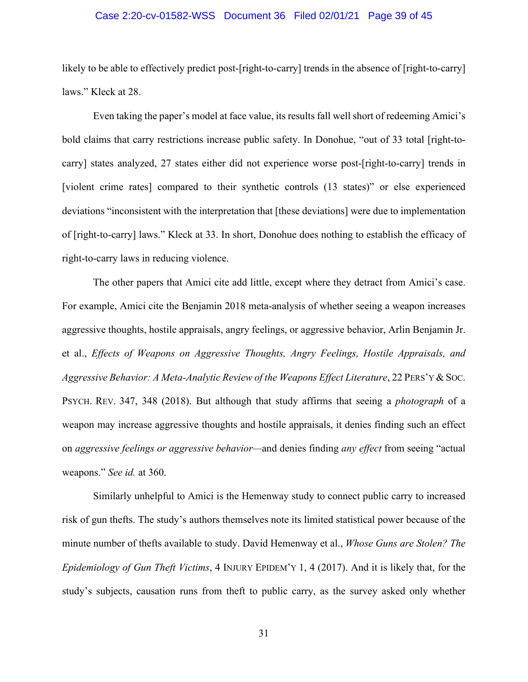#### Case 2:20-cv-01582-WSS Document 36 Filed 02/01/21 Page 39 of 45

likely to be able to effectively predict post-[right-to-carry] trends in the absence of [right-to-carry] laws." Kleck at 28.

Even taking the paper's model at face value, its results fall well short of redeeming Amici's bold claims that carry restrictions increase public safety. In Donohue, "out of 33 total [right-tocarry] states analyzed, 27 states either did not experience worse post-[right-to-carry] trends in [violent crime rates] compared to their synthetic controls (13 states)" or else experienced deviations "inconsistent with the interpretation that [these deviations] were due to implementation of [right-to-carry] laws." Kleck at 33. In short, Donohue does nothing to establish the efficacy of right-to-carry laws in reducing violence.

The other papers that Amici cite add little, except where they detract from Amici's case. For example, Amici cite the Benjamin 2018 meta-analysis of whether seeing a weapon increases aggressive thoughts, hostile appraisals, angry feelings, or aggressive behavior, Arlin Benjamin Jr. et al., *Effects of Weapons on Aggressive Thoughts, Angry Feelings, Hostile Appraisals, and*  Aggressive Behavior: A Meta-Analytic Review of the Weapons Effect Literature, 22 PERS'Y & Soc. PSYCH. REV. 347, 348 (2018). But although that study affirms that seeing a *photograph* of a weapon may increase aggressive thoughts and hostile appraisals, it denies finding such an effect on *aggressive feelings or aggressive behavior—*and denies finding *any effect* from seeing "actual weapons." *See id.* at 360.

Similarly unhelpful to Amici is the Hemenway study to connect public carry to increased risk of gun thefts. The study's authors themselves note its limited statistical power because of the minute number of thefts available to study. David Hemenway et al., *Whose Guns are Stolen? The Epidemiology of Gun Theft Victims*, 4 INJURY EPIDEM'Y 1, 4 (2017). And it is likely that, for the study's subjects, causation runs from theft to public carry, as the survey asked only whether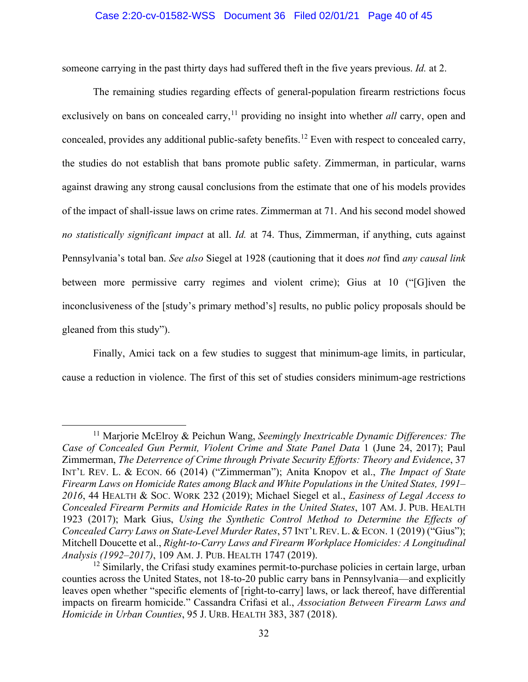#### Case 2:20-cv-01582-WSS Document 36 Filed 02/01/21 Page 40 of 45

someone carrying in the past thirty days had suffered theft in the five years previous. *Id.* at 2.

The remaining studies regarding effects of general-population firearm restrictions focus exclusively on bans on concealed carry,<sup>11</sup> providing no insight into whether *all* carry, open and concealed, provides any additional public-safety benefits.<sup>12</sup> Even with respect to concealed carry, the studies do not establish that bans promote public safety. Zimmerman, in particular, warns against drawing any strong causal conclusions from the estimate that one of his models provides of the impact of shall-issue laws on crime rates. Zimmerman at 71. And his second model showed *no statistically significant impact* at all. *Id.* at 74. Thus, Zimmerman, if anything, cuts against Pennsylvania's total ban. *See also* Siegel at 1928 (cautioning that it does *not* find *any causal link* between more permissive carry regimes and violent crime); Gius at 10 ("[G]iven the inconclusiveness of the [study's primary method's] results, no public policy proposals should be gleaned from this study").

Finally, Amici tack on a few studies to suggest that minimum-age limits, in particular, cause a reduction in violence. The first of this set of studies considers minimum-age restrictions

<sup>&</sup>lt;sup>11</sup> Marjorie McElroy & Peichun Wang, *Seemingly Inextricable Dynamic Differences: The Case of Concealed Gun Permit, Violent Crime and State Panel Data* 1 (June 24, 2017); Paul Zimmerman, *The Deterrence of Crime through Private Security Efforts: Theory and Evidence*, 37 INT'L REV. L. & ECON. 66 (2014) ("Zimmerman"); Anita Knopov et al., *The Impact of State Firearm Laws on Homicide Rates among Black and White Populations in the United States, 1991– 2016*, 44 HEALTH & SOC. WORK 232 (2019); Michael Siegel et al., *Easiness of Legal Access to Concealed Firearm Permits and Homicide Rates in the United States*, 107 AM. J. PUB. HEALTH 1923 (2017); Mark Gius, *Using the Synthetic Control Method to Determine the Effects of Concealed Carry Laws on State-Level Murder Rates*, 57 INT'L REV. L. & ECON. 1 (2019) ("Gius"); Mitchell Doucette et al., *Right-to-Carry Laws and Firearm Workplace Homicides: A Longitudinal Analysis (1992–2017)*, 109 AM. J. PUB. HEALTH 1747 (2019).

 $12$  Similarly, the Crifasi study examines permit-to-purchase policies in certain large, urban counties across the United States, not 18-to-20 public carry bans in Pennsylvania—and explicitly leaves open whether "specific elements of [right-to-carry] laws, or lack thereof, have differential impacts on firearm homicide." Cassandra Crifasi et al., *Association Between Firearm Laws and Homicide in Urban Counties*, 95 J. URB. HEALTH 383, 387 (2018).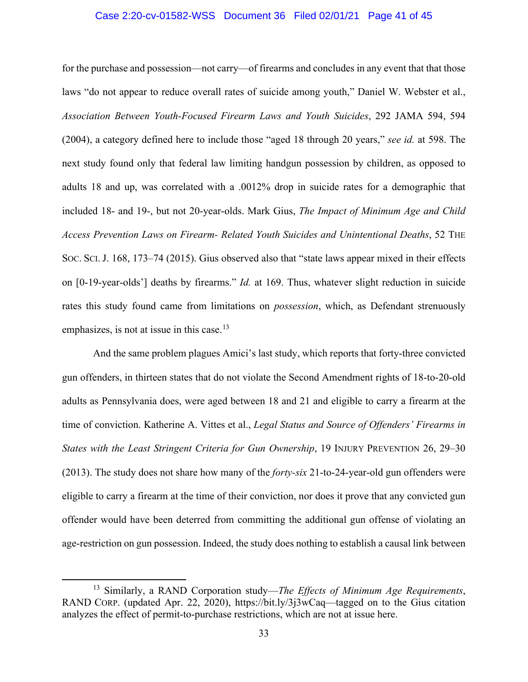#### Case 2:20-cv-01582-WSS Document 36 Filed 02/01/21 Page 41 of 45

for the purchase and possession—not carry—of firearms and concludes in any event that that those laws "do not appear to reduce overall rates of suicide among youth," Daniel W. Webster et al., *Association Between Youth-Focused Firearm Laws and Youth Suicides*, 292 JAMA 594, 594 (2004), a category defined here to include those "aged 18 through 20 years," *see id.* at 598. The next study found only that federal law limiting handgun possession by children, as opposed to adults 18 and up, was correlated with a .0012% drop in suicide rates for a demographic that included 18- and 19-, but not 20-year-olds. Mark Gius, *The Impact of Minimum Age and Child Access Prevention Laws on Firearm- Related Youth Suicides and Unintentional Deaths*, 52 THE SOC. SCI. J. 168, 173–74 (2015). Gius observed also that "state laws appear mixed in their effects on [0-19-year-olds'] deaths by firearms." *Id.* at 169. Thus, whatever slight reduction in suicide rates this study found came from limitations on *possession*, which, as Defendant strenuously emphasizes, is not at issue in this case.<sup>13</sup>

And the same problem plagues Amici's last study, which reports that forty-three convicted gun offenders, in thirteen states that do not violate the Second Amendment rights of 18-to-20-old adults as Pennsylvania does, were aged between 18 and 21 and eligible to carry a firearm at the time of conviction. Katherine A. Vittes et al., *Legal Status and Source of Offenders' Firearms in States with the Least Stringent Criteria for Gun Ownership*, 19 INJURY PREVENTION 26, 29–30 (2013). The study does not share how many of the *forty-six* 21-to-24-year-old gun offenders were eligible to carry a firearm at the time of their conviction, nor does it prove that any convicted gun offender would have been deterred from committing the additional gun offense of violating an age-restriction on gun possession. Indeed, the study does nothing to establish a causal link between

<sup>13</sup> Similarly, a RAND Corporation study—*The Effects of Minimum Age Requirements*, RAND CORP. (updated Apr. 22, 2020), https://bit.ly/3j3wCaq—tagged on to the Gius citation analyzes the effect of permit-to-purchase restrictions, which are not at issue here.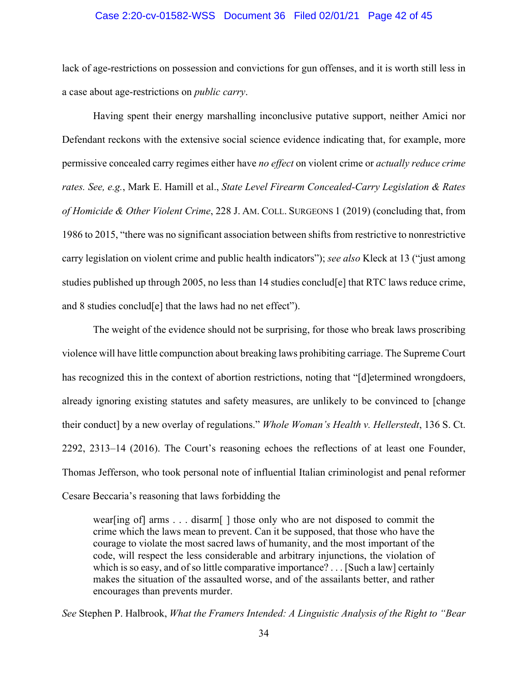#### Case 2:20-cv-01582-WSS Document 36 Filed 02/01/21 Page 42 of 45

lack of age-restrictions on possession and convictions for gun offenses, and it is worth still less in a case about age-restrictions on *public carry*.

Having spent their energy marshalling inconclusive putative support, neither Amici nor Defendant reckons with the extensive social science evidence indicating that, for example, more permissive concealed carry regimes either have *no effect* on violent crime or *actually reduce crime rates. See, e.g.*, Mark E. Hamill et al., *State Level Firearm Concealed-Carry Legislation & Rates of Homicide & Other Violent Crime*, 228 J. AM. COLL. SURGEONS 1 (2019) (concluding that, from 1986 to 2015, "there was no significant association between shifts from restrictive to nonrestrictive carry legislation on violent crime and public health indicators"); *see also* Kleck at 13 ("just among studies published up through 2005, no less than 14 studies conclud[e] that RTC laws reduce crime, and 8 studies conclud[e] that the laws had no net effect").

The weight of the evidence should not be surprising, for those who break laws proscribing violence will have little compunction about breaking laws prohibiting carriage. The Supreme Court has recognized this in the context of abortion restrictions, noting that "[d]etermined wrongdoers, already ignoring existing statutes and safety measures, are unlikely to be convinced to [change their conduct] by a new overlay of regulations." *Whole Woman's Health v. Hellerstedt*, 136 S. Ct. 2292, 2313–14 (2016). The Court's reasoning echoes the reflections of at least one Founder, Thomas Jefferson, who took personal note of influential Italian criminologist and penal reformer Cesare Beccaria's reasoning that laws forbidding the

wear[ing of] arms . . . disarm[ ] those only who are not disposed to commit the crime which the laws mean to prevent. Can it be supposed, that those who have the courage to violate the most sacred laws of humanity, and the most important of the code, will respect the less considerable and arbitrary injunctions, the violation of which is so easy, and of so little comparative importance? . . . [Such a law] certainly makes the situation of the assaulted worse, and of the assailants better, and rather encourages than prevents murder.

*See* Stephen P. Halbrook, *What the Framers Intended: A Linguistic Analysis of the Right to "Bear*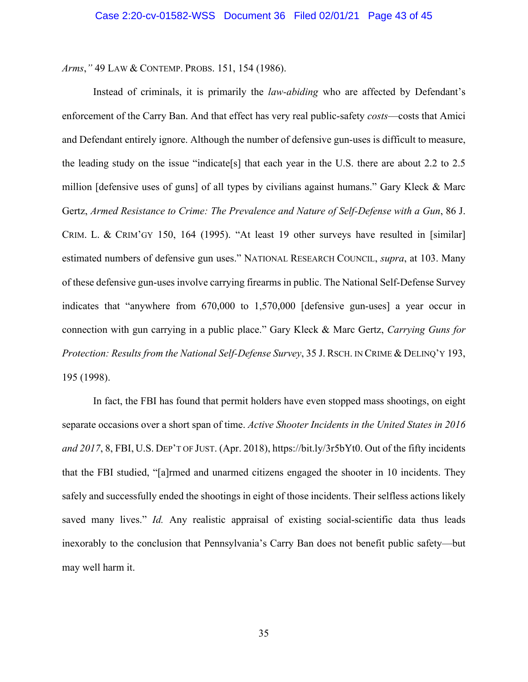*Arms*,*"* 49 LAW & CONTEMP. PROBS. 151, 154 (1986).

Instead of criminals, it is primarily the *law-abiding* who are affected by Defendant's enforcement of the Carry Ban. And that effect has very real public-safety *costs*—costs that Amici and Defendant entirely ignore. Although the number of defensive gun-uses is difficult to measure, the leading study on the issue "indicate[s] that each year in the U.S. there are about 2.2 to 2.5 million [defensive uses of guns] of all types by civilians against humans." Gary Kleck & Marc Gertz, *Armed Resistance to Crime: The Prevalence and Nature of Self-Defense with a Gun*, 86 J. CRIM. L. & CRIM'GY 150, 164 (1995). "At least 19 other surveys have resulted in [similar] estimated numbers of defensive gun uses." NATIONAL RESEARCH COUNCIL, *supra*, at 103. Many of these defensive gun-uses involve carrying firearms in public. The National Self-Defense Survey indicates that "anywhere from 670,000 to 1,570,000 [defensive gun-uses] a year occur in connection with gun carrying in a public place." Gary Kleck & Marc Gertz, *Carrying Guns for Protection: Results from the National Self-Defense Survey*, 35 J. RSCH. IN CRIME & DELINQ'Y 193, 195 (1998).

In fact, the FBI has found that permit holders have even stopped mass shootings, on eight separate occasions over a short span of time. *Active Shooter Incidents in the United States in 2016 and 2017*, 8, FBI, U.S. DEP'T OF JUST. (Apr. 2018), https://bit.ly/3r5bYt0. Out of the fifty incidents that the FBI studied, "[a]rmed and unarmed citizens engaged the shooter in 10 incidents. They safely and successfully ended the shootings in eight of those incidents. Their selfless actions likely saved many lives." *Id.* Any realistic appraisal of existing social-scientific data thus leads inexorably to the conclusion that Pennsylvania's Carry Ban does not benefit public safety—but may well harm it.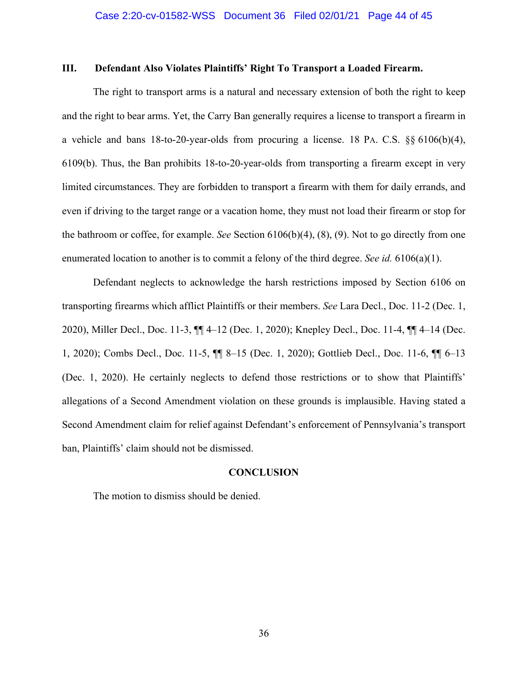#### **III. Defendant Also Violates Plaintiffs' Right To Transport a Loaded Firearm.**

The right to transport arms is a natural and necessary extension of both the right to keep and the right to bear arms. Yet, the Carry Ban generally requires a license to transport a firearm in a vehicle and bans 18-to-20-year-olds from procuring a license. 18 PA. C.S. §§ 6106(b)(4), 6109(b). Thus, the Ban prohibits 18-to-20-year-olds from transporting a firearm except in very limited circumstances. They are forbidden to transport a firearm with them for daily errands, and even if driving to the target range or a vacation home, they must not load their firearm or stop for the bathroom or coffee, for example. *See* Section 6106(b)(4), (8), (9). Not to go directly from one enumerated location to another is to commit a felony of the third degree. *See id.* 6106(a)(1).

Defendant neglects to acknowledge the harsh restrictions imposed by Section 6106 on transporting firearms which afflict Plaintiffs or their members. *See* Lara Decl., Doc. 11-2 (Dec. 1, 2020), Miller Decl., Doc. 11-3, ¶¶ 4–12 (Dec. 1, 2020); Knepley Decl., Doc. 11-4, ¶¶ 4–14 (Dec. 1, 2020); Combs Decl., Doc. 11-5, ¶¶ 8–15 (Dec. 1, 2020); Gottlieb Decl., Doc. 11-6, ¶¶ 6–13 (Dec. 1, 2020). He certainly neglects to defend those restrictions or to show that Plaintiffs' allegations of a Second Amendment violation on these grounds is implausible. Having stated a Second Amendment claim for relief against Defendant's enforcement of Pennsylvania's transport ban, Plaintiffs' claim should not be dismissed.

#### **CONCLUSION**

The motion to dismiss should be denied.